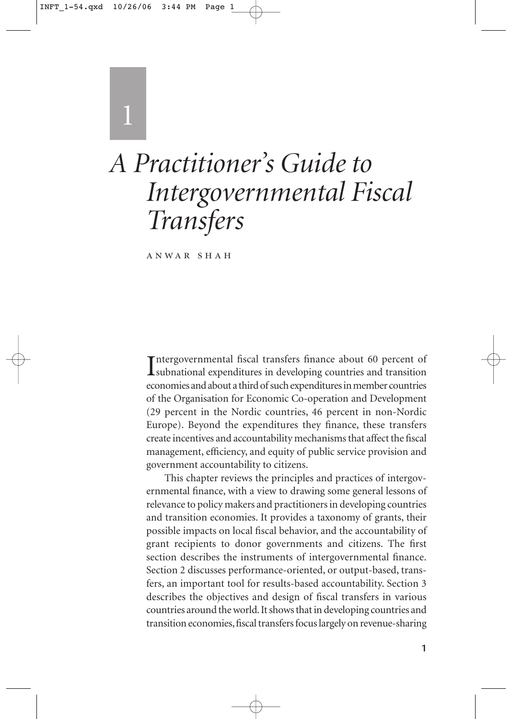1

# *A Practitioner's Guide to Intergovernmental Fiscal Transfers*

anwar shah

Intergovernmental fiscal transfers finance about 60 percent of<br>
subnational expenditures in developing countries and transition subnational expenditures in developing countries and transition economies and about a third of such expenditures in member countries of the Organisation for Economic Co-operation and Development (29 percent in the Nordic countries, 46 percent in non-Nordic Europe). Beyond the expenditures they finance, these transfers create incentives and accountability mechanisms that affect the fiscal management, efficiency, and equity of public service provision and government accountability to citizens.

This chapter reviews the principles and practices of intergovernmental finance, with a view to drawing some general lessons of relevance to policy makers and practitioners in developing countries and transition economies. It provides a taxonomy of grants, their possible impacts on local fiscal behavior, and the accountability of grant recipients to donor governments and citizens. The first section describes the instruments of intergovernmental finance. Section 2 discusses performance-oriented, or output-based, transfers, an important tool for results-based accountability. Section 3 describes the objectives and design of fiscal transfers in various countries around the world.It shows that in developing countries and transition economies, fiscal transfers focus largely on revenue-sharing

**1**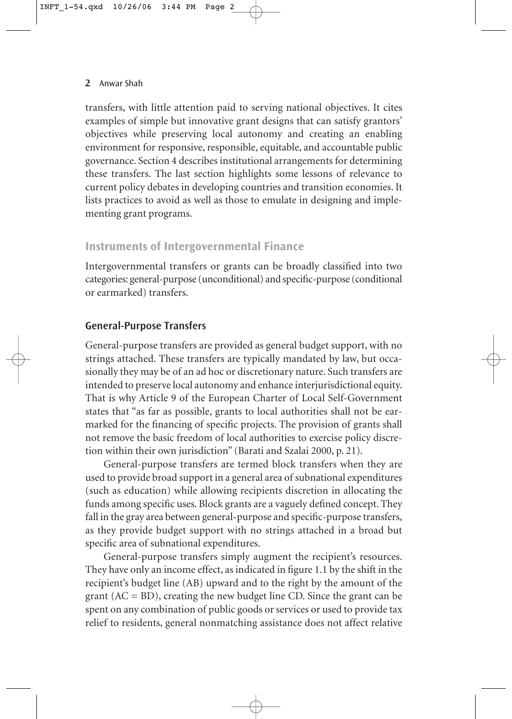transfers, with little attention paid to serving national objectives. It cites examples of simple but innovative grant designs that can satisfy grantors' objectives while preserving local autonomy and creating an enabling environment for responsive, responsible, equitable, and accountable public governance. Section 4 describes institutional arrangements for determining these transfers. The last section highlights some lessons of relevance to current policy debates in developing countries and transition economies. It lists practices to avoid as well as those to emulate in designing and implementing grant programs.

# **Instruments of Intergovernmental Finance**

Intergovernmental transfers or grants can be broadly classified into two categories: general-purpose (unconditional) and specific-purpose (conditional or earmarked) transfers.

## **General-Purpose Transfers**

General-purpose transfers are provided as general budget support, with no strings attached. These transfers are typically mandated by law, but occasionally they may be of an ad hoc or discretionary nature. Such transfers are intended to preserve local autonomy and enhance interjurisdictional equity. That is why Article 9 of the European Charter of Local Self-Government states that "as far as possible, grants to local authorities shall not be earmarked for the financing of specific projects. The provision of grants shall not remove the basic freedom of local authorities to exercise policy discretion within their own jurisdiction" (Barati and Szalai 2000, p. 21).

General-purpose transfers are termed block transfers when they are used to provide broad support in a general area of subnational expenditures (such as education) while allowing recipients discretion in allocating the funds among specific uses. Block grants are a vaguely defined concept. They fall in the gray area between general-purpose and specific-purpose transfers, as they provide budget support with no strings attached in a broad but specific area of subnational expenditures.

General-purpose transfers simply augment the recipient's resources. They have only an income effect, as indicated in figure 1.1 by the shift in the recipient's budget line (AB) upward and to the right by the amount of the grant  $(AC = BD)$ , creating the new budget line CD. Since the grant can be spent on any combination of public goods or services or used to provide tax relief to residents, general nonmatching assistance does not affect relative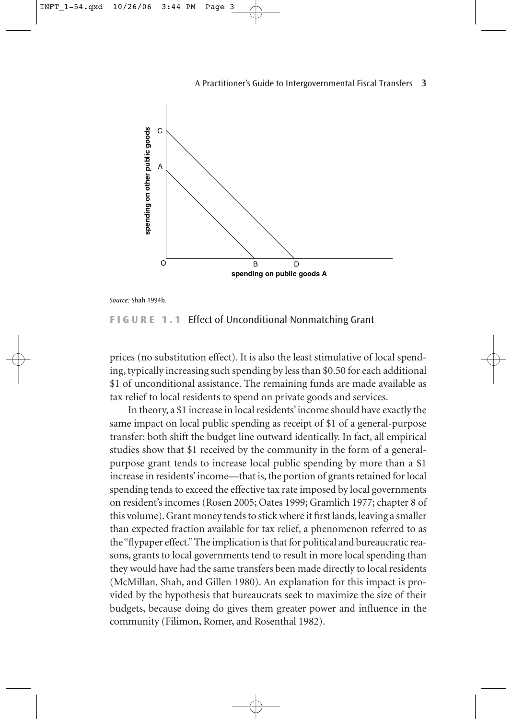

*Source:* Shah 1994b.

# **FIGURE 1.1** Effect of Unconditional Nonmatching Grant

prices (no substitution effect). It is also the least stimulative of local spending, typically increasing such spending by less than \$0.50 for each additional \$1 of unconditional assistance. The remaining funds are made available as tax relief to local residents to spend on private goods and services.

In theory, a \$1 increase in local residents' income should have exactly the same impact on local public spending as receipt of \$1 of a general-purpose transfer: both shift the budget line outward identically. In fact, all empirical studies show that \$1 received by the community in the form of a generalpurpose grant tends to increase local public spending by more than a \$1 increase in residents' income—that is, the portion of grants retained for local spending tends to exceed the effective tax rate imposed by local governments on resident's incomes (Rosen 2005; Oates 1999; Gramlich 1977; chapter 8 of this volume). Grant money tends to stick where it first lands, leaving a smaller than expected fraction available for tax relief, a phenomenon referred to as the "flypaper effect."The implication is that for political and bureaucratic reasons, grants to local governments tend to result in more local spending than they would have had the same transfers been made directly to local residents (McMillan, Shah, and Gillen 1980). An explanation for this impact is provided by the hypothesis that bureaucrats seek to maximize the size of their budgets, because doing do gives them greater power and influence in the community (Filimon, Romer, and Rosenthal 1982).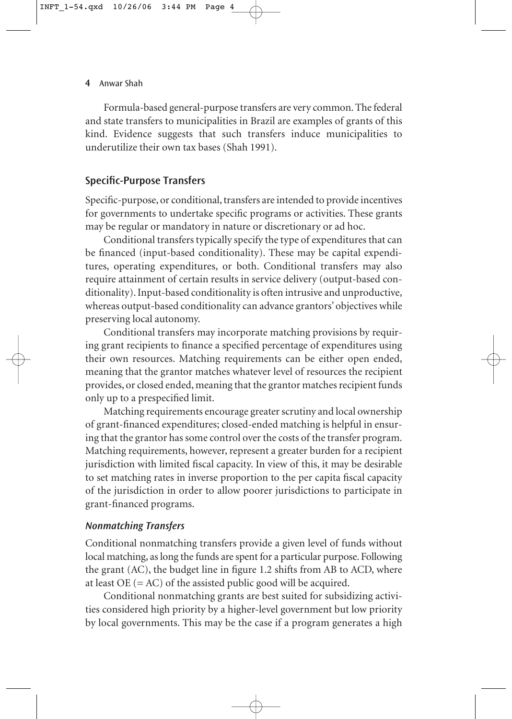Formula-based general-purpose transfers are very common. The federal and state transfers to municipalities in Brazil are examples of grants of this kind. Evidence suggests that such transfers induce municipalities to underutilize their own tax bases (Shah 1991).

# **Specific-Purpose Transfers**

Specific-purpose, or conditional, transfers are intended to provide incentives for governments to undertake specific programs or activities. These grants may be regular or mandatory in nature or discretionary or ad hoc.

Conditional transfers typically specify the type of expenditures that can be financed (input-based conditionality). These may be capital expenditures, operating expenditures, or both. Conditional transfers may also require attainment of certain results in service delivery (output-based conditionality). Input-based conditionality is often intrusive and unproductive, whereas output-based conditionality can advance grantors' objectives while preserving local autonomy.

Conditional transfers may incorporate matching provisions by requiring grant recipients to finance a specified percentage of expenditures using their own resources. Matching requirements can be either open ended, meaning that the grantor matches whatever level of resources the recipient provides, or closed ended, meaning that the grantor matches recipient funds only up to a prespecified limit.

Matching requirements encourage greater scrutiny and local ownership of grant-financed expenditures; closed-ended matching is helpful in ensuring that the grantor has some control over the costs of the transfer program. Matching requirements, however, represent a greater burden for a recipient jurisdiction with limited fiscal capacity. In view of this, it may be desirable to set matching rates in inverse proportion to the per capita fiscal capacity of the jurisdiction in order to allow poorer jurisdictions to participate in grant-financed programs.

# *Nonmatching Transfers*

Conditional nonmatching transfers provide a given level of funds without local matching, as long the funds are spent for a particular purpose. Following the grant (AC), the budget line in figure 1.2 shifts from AB to ACD, where at least  $OE (= AC)$  of the assisted public good will be acquired.

Conditional nonmatching grants are best suited for subsidizing activities considered high priority by a higher-level government but low priority by local governments. This may be the case if a program generates a high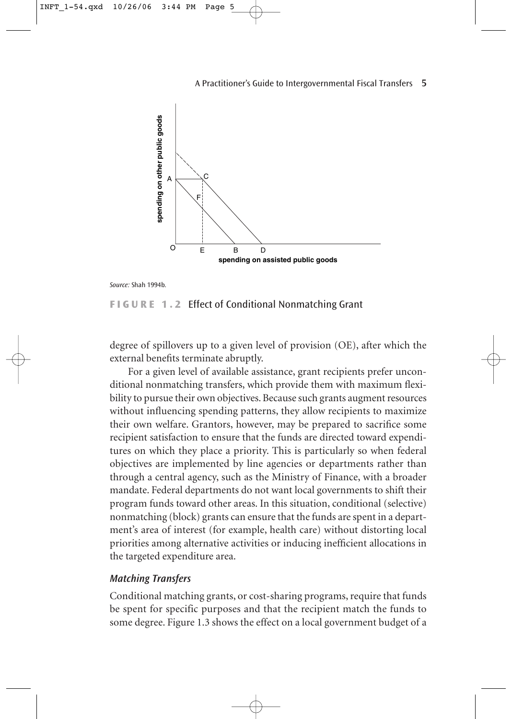

*Source:* Shah 1994b.

## **FIGURE 1.2** Effect of Conditional Nonmatching Grant

degree of spillovers up to a given level of provision (OE), after which the external benefits terminate abruptly.

For a given level of available assistance, grant recipients prefer unconditional nonmatching transfers, which provide them with maximum flexibility to pursue their own objectives. Because such grants augment resources without influencing spending patterns, they allow recipients to maximize their own welfare. Grantors, however, may be prepared to sacrifice some recipient satisfaction to ensure that the funds are directed toward expenditures on which they place a priority. This is particularly so when federal objectives are implemented by line agencies or departments rather than through a central agency, such as the Ministry of Finance, with a broader mandate. Federal departments do not want local governments to shift their program funds toward other areas. In this situation, conditional (selective) nonmatching (block) grants can ensure that the funds are spent in a department's area of interest (for example, health care) without distorting local priorities among alternative activities or inducing inefficient allocations in the targeted expenditure area.

# *Matching Transfers*

Conditional matching grants, or cost-sharing programs, require that funds be spent for specific purposes and that the recipient match the funds to some degree. Figure 1.3 shows the effect on a local government budget of a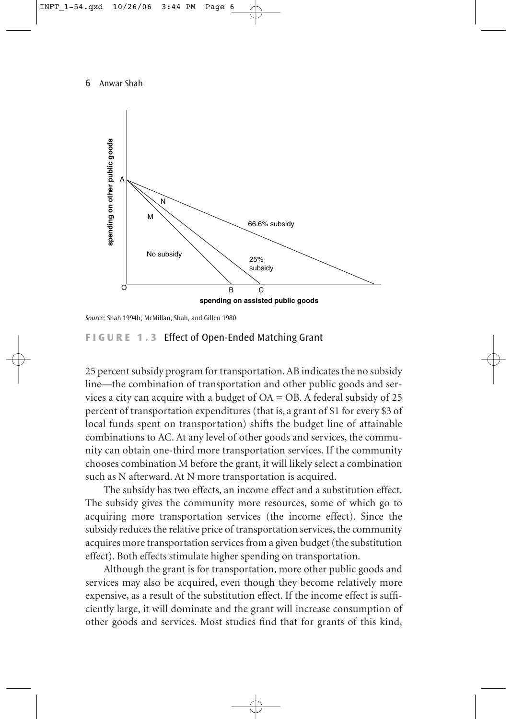



*Source:* Shah 1994b; McMillan, Shah, and Gillen 1980.

# **FIGURE 1.3** Effect of Open-Ended Matching Grant

25 percent subsidy program for transportation. AB indicates the no subsidy line—the combination of transportation and other public goods and services a city can acquire with a budget of OA = OB. A federal subsidy of 25 percent of transportation expenditures (that is, a grant of \$1 for every \$3 of local funds spent on transportation) shifts the budget line of attainable combinations to AC. At any level of other goods and services, the community can obtain one-third more transportation services. If the community chooses combination M before the grant, it will likely select a combination such as N afterward. At N more transportation is acquired.

The subsidy has two effects, an income effect and a substitution effect. The subsidy gives the community more resources, some of which go to acquiring more transportation services (the income effect). Since the subsidy reduces the relative price of transportation services, the community acquires more transportation services from a given budget (the substitution effect). Both effects stimulate higher spending on transportation.

Although the grant is for transportation, more other public goods and services may also be acquired, even though they become relatively more expensive, as a result of the substitution effect. If the income effect is sufficiently large, it will dominate and the grant will increase consumption of other goods and services. Most studies find that for grants of this kind,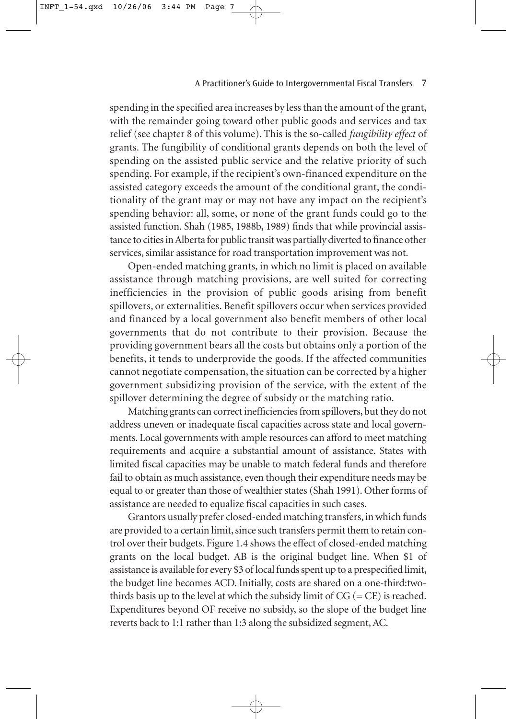#### $10/26/06$  3:44

#### A Practitioner's Guide to Intergovernmental Fiscal Transfers **7**

spending in the specified area increases by less than the amount of the grant, with the remainder going toward other public goods and services and tax relief (see chapter 8 of this volume). This is the so-called *fungibility effect* of grants. The fungibility of conditional grants depends on both the level of spending on the assisted public service and the relative priority of such spending. For example, if the recipient's own-financed expenditure on the assisted category exceeds the amount of the conditional grant, the conditionality of the grant may or may not have any impact on the recipient's spending behavior: all, some, or none of the grant funds could go to the assisted function. Shah (1985, 1988b, 1989) finds that while provincial assistance to cities in Alberta for public transit was partially diverted to finance other services, similar assistance for road transportation improvement was not.

Open-ended matching grants, in which no limit is placed on available assistance through matching provisions, are well suited for correcting inefficiencies in the provision of public goods arising from benefit spillovers, or externalities. Benefit spillovers occur when services provided and financed by a local government also benefit members of other local governments that do not contribute to their provision. Because the providing government bears all the costs but obtains only a portion of the benefits, it tends to underprovide the goods. If the affected communities cannot negotiate compensation, the situation can be corrected by a higher government subsidizing provision of the service, with the extent of the spillover determining the degree of subsidy or the matching ratio.

Matching grants can correct inefficiencies from spillovers, but they do not address uneven or inadequate fiscal capacities across state and local governments. Local governments with ample resources can afford to meet matching requirements and acquire a substantial amount of assistance. States with limited fiscal capacities may be unable to match federal funds and therefore fail to obtain as much assistance, even though their expenditure needs may be equal to or greater than those of wealthier states (Shah 1991). Other forms of assistance are needed to equalize fiscal capacities in such cases.

Grantors usually prefer closed-ended matching transfers, in which funds are provided to a certain limit, since such transfers permit them to retain control over their budgets. Figure 1.4 shows the effect of closed-ended matching grants on the local budget. AB is the original budget line. When \$1 of assistance is available for every \$3 of local funds spent up to a prespecified limit, the budget line becomes ACD. Initially, costs are shared on a one-third:twothirds basis up to the level at which the subsidy limit of  $CG (= CE)$  is reached. Expenditures beyond OF receive no subsidy, so the slope of the budget line reverts back to 1:1 rather than 1:3 along the subsidized segment, AC.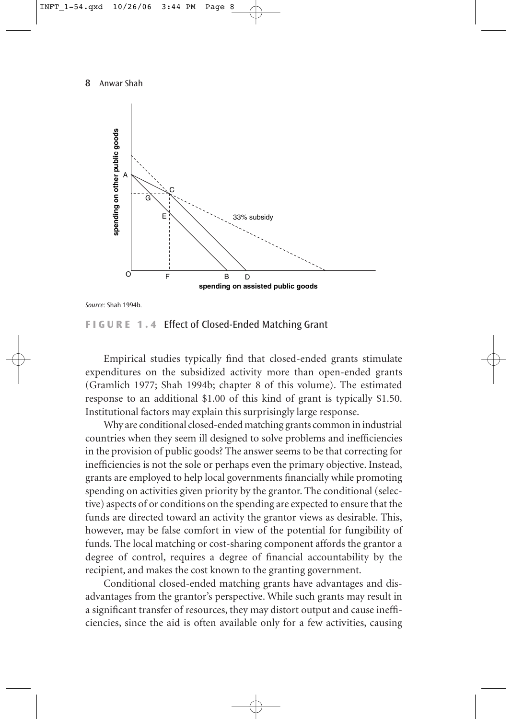



*Source:* Shah 1994b.

# **FIGURE 1.4** Effect of Closed-Ended Matching Grant

Empirical studies typically find that closed-ended grants stimulate expenditures on the subsidized activity more than open-ended grants (Gramlich 1977; Shah 1994b; chapter 8 of this volume). The estimated response to an additional \$1.00 of this kind of grant is typically \$1.50. Institutional factors may explain this surprisingly large response.

Why are conditional closed-ended matching grants common in industrial countries when they seem ill designed to solve problems and inefficiencies in the provision of public goods? The answer seems to be that correcting for inefficiencies is not the sole or perhaps even the primary objective. Instead, grants are employed to help local governments financially while promoting spending on activities given priority by the grantor. The conditional (selective) aspects of or conditions on the spending are expected to ensure that the funds are directed toward an activity the grantor views as desirable. This, however, may be false comfort in view of the potential for fungibility of funds. The local matching or cost-sharing component affords the grantor a degree of control, requires a degree of financial accountability by the recipient, and makes the cost known to the granting government.

Conditional closed-ended matching grants have advantages and disadvantages from the grantor's perspective. While such grants may result in a significant transfer of resources, they may distort output and cause inefficiencies, since the aid is often available only for a few activities, causing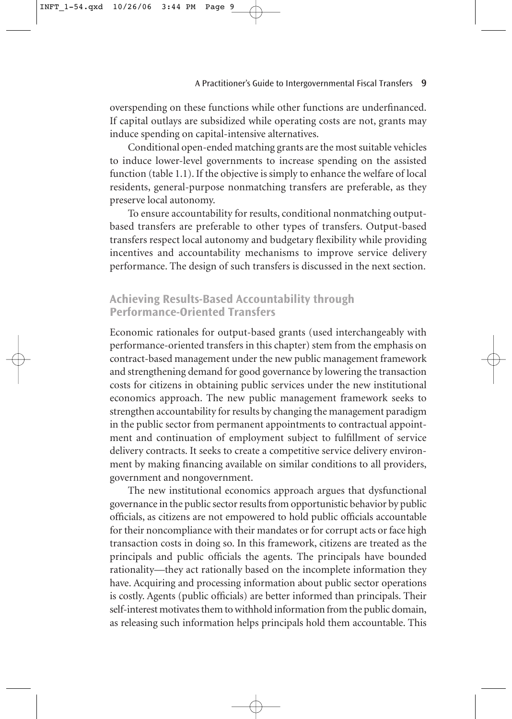overspending on these functions while other functions are underfinanced. If capital outlays are subsidized while operating costs are not, grants may induce spending on capital-intensive alternatives.

Conditional open-ended matching grants are the most suitable vehicles to induce lower-level governments to increase spending on the assisted function (table 1.1). If the objective is simply to enhance the welfare of local residents, general-purpose nonmatching transfers are preferable, as they preserve local autonomy.

To ensure accountability for results, conditional nonmatching outputbased transfers are preferable to other types of transfers. Output-based transfers respect local autonomy and budgetary flexibility while providing incentives and accountability mechanisms to improve service delivery performance. The design of such transfers is discussed in the next section.

# **Achieving Results-Based Accountability through Performance-Oriented Transfers**

Economic rationales for output-based grants (used interchangeably with performance-oriented transfers in this chapter) stem from the emphasis on contract-based management under the new public management framework and strengthening demand for good governance by lowering the transaction costs for citizens in obtaining public services under the new institutional economics approach. The new public management framework seeks to strengthen accountability for results by changing the management paradigm in the public sector from permanent appointments to contractual appointment and continuation of employment subject to fulfillment of service delivery contracts. It seeks to create a competitive service delivery environment by making financing available on similar conditions to all providers, government and nongovernment.

The new institutional economics approach argues that dysfunctional governance in the public sector results from opportunistic behavior by public officials, as citizens are not empowered to hold public officials accountable for their noncompliance with their mandates or for corrupt acts or face high transaction costs in doing so. In this framework, citizens are treated as the principals and public officials the agents. The principals have bounded rationality—they act rationally based on the incomplete information they have. Acquiring and processing information about public sector operations is costly. Agents (public officials) are better informed than principals. Their self-interest motivates them to withhold information from the public domain, as releasing such information helps principals hold them accountable. This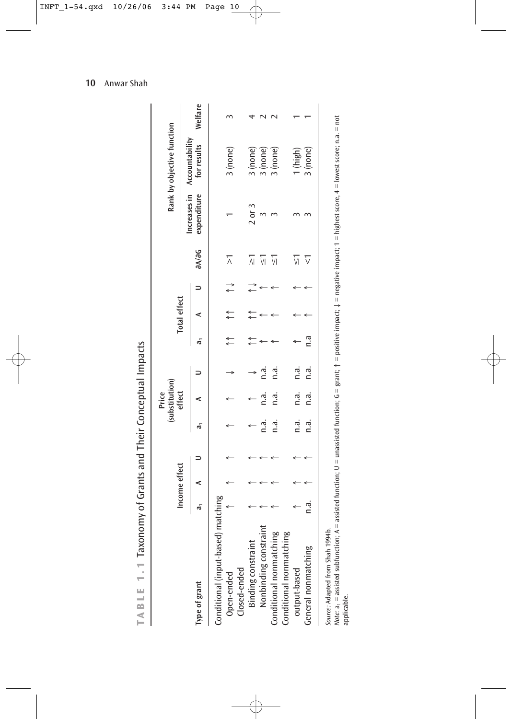|                                    |      | Income effect |      | (substitution)<br>effect<br>Price |      |     | <b>Total effect</b>                     |                |                      |            | Rank by objective function                            |         |
|------------------------------------|------|---------------|------|-----------------------------------|------|-----|-----------------------------------------|----------------|----------------------|------------|-------------------------------------------------------|---------|
|                                    |      |               |      |                                   |      |     |                                         |                |                      |            |                                                       |         |
| Type of grant                      |      |               |      |                                   |      |     |                                         | $\overline{a}$ | 36/N                 |            | expenditure for results<br>ncreases in Accountability | Welfare |
| Conditional (input-based) matching |      |               |      |                                   |      |     |                                         |                |                      |            |                                                       |         |
| Open-ended                         |      |               |      |                                   |      |     | $\uparrow \uparrow$ $\uparrow \uparrow$ |                |                      |            | 3 (none)                                              |         |
| Closed-ended                       |      |               |      |                                   |      |     |                                         |                |                      |            |                                                       |         |
| Binding constraint                 |      |               |      |                                   |      |     |                                         |                | $\overline{\lambda}$ | $2$ or $3$ | 3 (none)                                              |         |
| Nonbinding constraint              |      |               | n.a. | 1.વં                              | n.a. |     |                                         |                | $\overline{V}$       |            | 3 (none)<br>3 (none)                                  |         |
| Conditional nonmatching            |      |               | n.a. | n.a.                              | ņ.   |     |                                         |                |                      |            |                                                       |         |
| Conditional nonmatching            |      |               |      |                                   |      |     |                                         |                |                      |            |                                                       |         |
| output-based                       |      |               | n.a. | n.a.                              | n.a. |     |                                         |                |                      |            |                                                       |         |
| General nonmatching                | n.a. |               | n.a. | n.a.                              | n.a. | n.a |                                         |                |                      |            | 1 (high)<br>3 (none)                                  |         |

Source: Adapted from Shah 1994b. *Source:* Adapted from Shah 1994b.

 $\color{red} \bigoplus$ 

*Note:* a1 = assisted subfunction; A = assisted function; U = unassisted function; G = grant; ↑ = positive impact; ↓ = negative impact; 1 = highest score, 4 = lowest score; n.a. = not Note:  $a_1$  = assisted subfunction; A = assisted function; U = unassisted function; G = grant; 1 = positive impact;  $\downarrow$  = negative impact; 1 = highest score, 4 = lowest score; n.a. = not<br>applicable.

 $\begin{array}{c} \hline \end{array}$ 

**TABLE 1.1** Taxonomy of Grants and Their Conceptual Impacts

TABLE 1.1 Taxonomy of Grants and Their Conceptual Impacts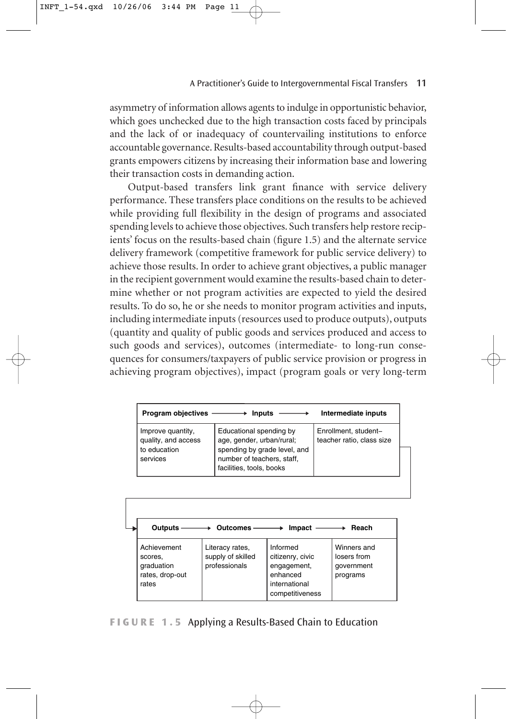asymmetry of information allows agents to indulge in opportunistic behavior, which goes unchecked due to the high transaction costs faced by principals and the lack of or inadequacy of countervailing institutions to enforce accountable governance. Results-based accountability through output-based grants empowers citizens by increasing their information base and lowering their transaction costs in demanding action.

Output-based transfers link grant finance with service delivery performance. These transfers place conditions on the results to be achieved while providing full flexibility in the design of programs and associated spending levels to achieve those objectives. Such transfers help restore recipients' focus on the results-based chain (figure 1.5) and the alternate service delivery framework (competitive framework for public service delivery) to achieve those results. In order to achieve grant objectives, a public manager in the recipient government would examine the results-based chain to determine whether or not program activities are expected to yield the desired results. To do so, he or she needs to monitor program activities and inputs, including intermediate inputs (resources used to produce outputs), outputs (quantity and quality of public goods and services produced and access to such goods and services), outcomes (intermediate- to long-run consequences for consumers/taxpayers of public service provision or progress in achieving program objectives), impact (program goals or very long-term

| Program objectives -                                                 | Inputs                                                                                                                                         | Intermediate inputs                               |
|----------------------------------------------------------------------|------------------------------------------------------------------------------------------------------------------------------------------------|---------------------------------------------------|
| Improve quantity,<br>quality, and access<br>to education<br>services | Educational spending by<br>age, gender, urban/rural;<br>spending by grade level, and<br>number of teachers, staff,<br>facilities, tools, books | Enrollment, student-<br>teacher ratio, class size |

| Outputs                                                          | Outcomes-                                             | Impact                                                                                      | Reach                                                |
|------------------------------------------------------------------|-------------------------------------------------------|---------------------------------------------------------------------------------------------|------------------------------------------------------|
| Achievement<br>scores,<br>graduation<br>rates, drop-out<br>rates | Literacy rates,<br>supply of skilled<br>professionals | Informed<br>citizenry, civic<br>engagement,<br>enhanced<br>international<br>competitiveness | Winners and<br>losers from<br>government<br>programs |

## **FIGURE 1.5** Applying a Results-Based Chain to Education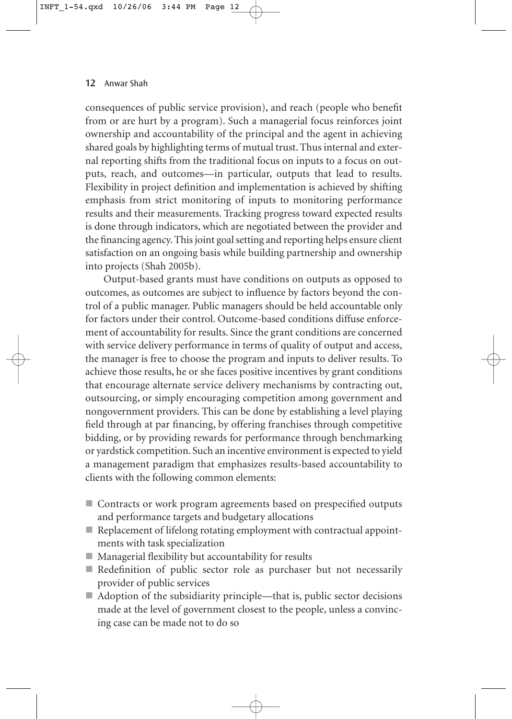consequences of public service provision), and reach (people who benefit from or are hurt by a program). Such a managerial focus reinforces joint ownership and accountability of the principal and the agent in achieving shared goals by highlighting terms of mutual trust. Thus internal and external reporting shifts from the traditional focus on inputs to a focus on outputs, reach, and outcomes—in particular, outputs that lead to results. Flexibility in project definition and implementation is achieved by shifting emphasis from strict monitoring of inputs to monitoring performance results and their measurements. Tracking progress toward expected results is done through indicators, which are negotiated between the provider and the financing agency. This joint goal setting and reporting helps ensure client satisfaction on an ongoing basis while building partnership and ownership into projects (Shah 2005b).

Output-based grants must have conditions on outputs as opposed to outcomes, as outcomes are subject to influence by factors beyond the control of a public manager. Public managers should be held accountable only for factors under their control. Outcome-based conditions diffuse enforcement of accountability for results. Since the grant conditions are concerned with service delivery performance in terms of quality of output and access, the manager is free to choose the program and inputs to deliver results. To achieve those results, he or she faces positive incentives by grant conditions that encourage alternate service delivery mechanisms by contracting out, outsourcing, or simply encouraging competition among government and nongovernment providers. This can be done by establishing a level playing field through at par financing, by offering franchises through competitive bidding, or by providing rewards for performance through benchmarking or yardstick competition. Such an incentive environment is expected to yield a management paradigm that emphasizes results-based accountability to clients with the following common elements:

- Contracts or work program agreements based on prespecified outputs and performance targets and budgetary allocations
- Replacement of lifelong rotating employment with contractual appointments with task specialization
- $\blacksquare$  Managerial flexibility but accountability for results
- Redefinition of public sector role as purchaser but not necessarily provider of public services
- Adoption of the subsidiarity principle—that is, public sector decisions made at the level of government closest to the people, unless a convincing case can be made not to do so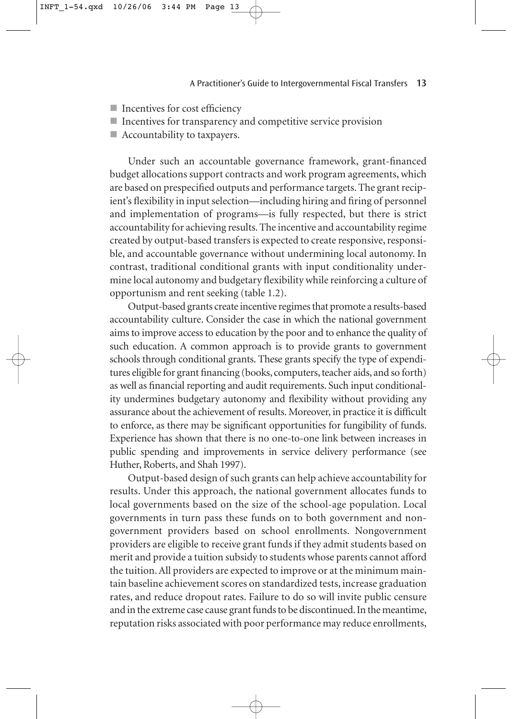- **Incentives for cost efficiency**
- $\blacksquare$  Incentives for transparency and competitive service provision
- **Accountability to taxpayers.**

Under such an accountable governance framework, grant-financed budget allocations support contracts and work program agreements, which are based on prespecified outputs and performance targets. The grant recipient's flexibility in input selection—including hiring and firing of personnel and implementation of programs—is fully respected, but there is strict accountability for achieving results. The incentive and accountability regime created by output-based transfers is expected to create responsive, responsible, and accountable governance without undermining local autonomy. In contrast, traditional conditional grants with input conditionality undermine local autonomy and budgetary flexibility while reinforcing a culture of opportunism and rent seeking (table 1.2).

Output-based grants create incentive regimes that promote a results-based accountability culture. Consider the case in which the national government aims to improve access to education by the poor and to enhance the quality of such education. A common approach is to provide grants to government schools through conditional grants. These grants specify the type of expenditures eligible for grant financing (books, computers, teacher aids, and so forth) as well as financial reporting and audit requirements. Such input conditionality undermines budgetary autonomy and flexibility without providing any assurance about the achievement of results. Moreover, in practice it is difficult to enforce, as there may be significant opportunities for fungibility of funds. Experience has shown that there is no one-to-one link between increases in public spending and improvements in service delivery performance (see Huther, Roberts, and Shah 1997).

Output-based design of such grants can help achieve accountability for results. Under this approach, the national government allocates funds to local governments based on the size of the school-age population. Local governments in turn pass these funds on to both government and nongovernment providers based on school enrollments. Nongovernment providers are eligible to receive grant funds if they admit students based on merit and provide a tuition subsidy to students whose parents cannot afford the tuition. All providers are expected to improve or at the minimum maintain baseline achievement scores on standardized tests, increase graduation rates, and reduce dropout rates. Failure to do so will invite public censure and in the extreme case cause grant funds to be discontinued. In the meantime, reputation risks associated with poor performance may reduce enrollments,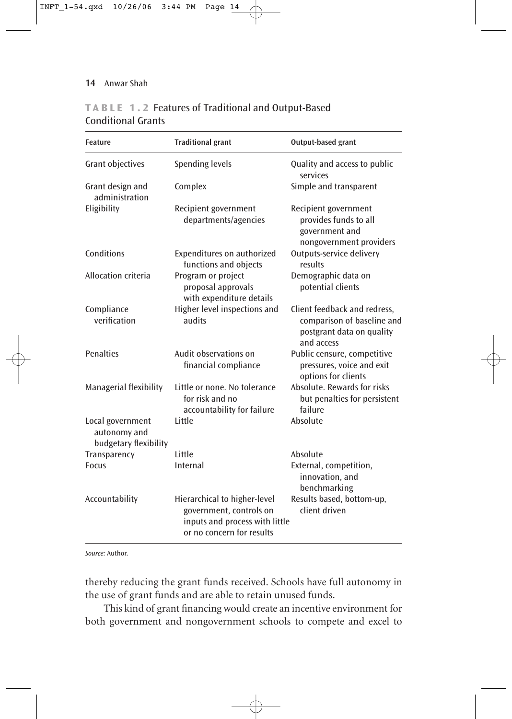# **TABLE 1.2** Features of Traditional and Output-Based Conditional Grants

| <b>Feature</b>                                            | <b>Traditional grant</b>                                                                                               | Output-based grant                                                                                    |
|-----------------------------------------------------------|------------------------------------------------------------------------------------------------------------------------|-------------------------------------------------------------------------------------------------------|
| <b>Grant objectives</b>                                   | Spending levels                                                                                                        | Quality and access to public<br>services                                                              |
| Grant design and<br>administration                        | Complex                                                                                                                | Simple and transparent                                                                                |
| Eligibility                                               | Recipient government<br>departments/agencies                                                                           | Recipient government<br>provides funds to all<br>government and<br>nongovernment providers            |
| Conditions                                                | Expenditures on authorized<br>functions and objects                                                                    | Outputs-service delivery<br>results                                                                   |
| Allocation criteria                                       | Program or project<br>proposal approvals<br>with expenditure details                                                   | Demographic data on<br>potential clients                                                              |
| Compliance<br>verification                                | Higher level inspections and<br>audits                                                                                 | Client feedback and redress,<br>comparison of baseline and<br>postgrant data on quality<br>and access |
| <b>Penalties</b>                                          | Audit observations on<br>financial compliance                                                                          | Public censure, competitive<br>pressures, voice and exit<br>options for clients                       |
| Managerial flexibility                                    | Little or none. No tolerance<br>for risk and no<br>accountability for failure                                          | Absolute, Rewards for risks<br>but penalties for persistent<br>failure                                |
| Local government<br>autonomy and<br>budgetary flexibility | I ittle                                                                                                                | Absolute                                                                                              |
| Transparency                                              | Little                                                                                                                 | Absolute                                                                                              |
| <b>Focus</b>                                              | Internal                                                                                                               | External, competition,<br>innovation, and<br>benchmarking                                             |
| Accountability                                            | Hierarchical to higher-level<br>government, controls on<br>inputs and process with little<br>or no concern for results | Results based, bottom-up,<br>client driven                                                            |

*Source:* Author.

thereby reducing the grant funds received. Schools have full autonomy in the use of grant funds and are able to retain unused funds.

This kind of grant financing would create an incentive environment for both government and nongovernment schools to compete and excel to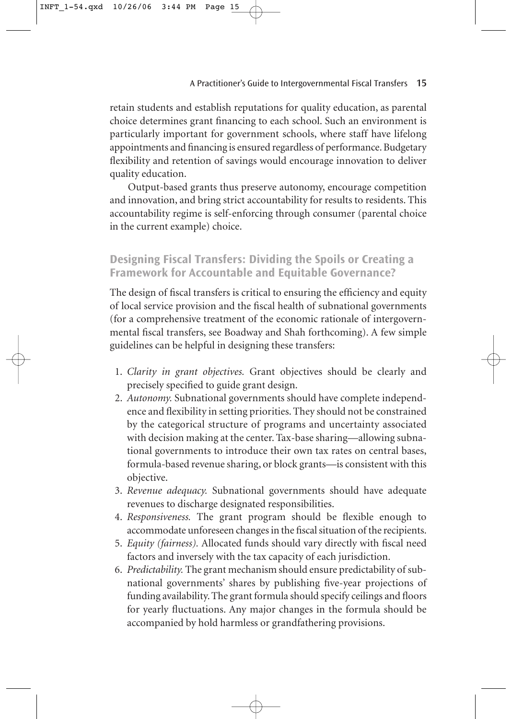retain students and establish reputations for quality education, as parental choice determines grant financing to each school. Such an environment is particularly important for government schools, where staff have lifelong appointments and financing is ensured regardless of performance. Budgetary flexibility and retention of savings would encourage innovation to deliver quality education.

Output-based grants thus preserve autonomy, encourage competition and innovation, and bring strict accountability for results to residents. This accountability regime is self-enforcing through consumer (parental choice in the current example) choice.

# **Designing Fiscal Transfers: Dividing the Spoils or Creating a Framework for Accountable and Equitable Governance?**

The design of fiscal transfers is critical to ensuring the efficiency and equity of local service provision and the fiscal health of subnational governments (for a comprehensive treatment of the economic rationale of intergovernmental fiscal transfers, see Boadway and Shah forthcoming). A few simple guidelines can be helpful in designing these transfers:

- 1. *Clarity in grant objectives.* Grant objectives should be clearly and precisely specified to guide grant design.
- 2. *Autonomy.* Subnational governments should have complete independence and flexibility in setting priorities. They should not be constrained by the categorical structure of programs and uncertainty associated with decision making at the center. Tax-base sharing—allowing subnational governments to introduce their own tax rates on central bases, formula-based revenue sharing, or block grants—is consistent with this objective.
- 3. *Revenue adequacy.* Subnational governments should have adequate revenues to discharge designated responsibilities.
- 4. *Responsiveness.* The grant program should be flexible enough to accommodate unforeseen changes in the fiscal situation of the recipients.
- 5. *Equity (fairness).* Allocated funds should vary directly with fiscal need factors and inversely with the tax capacity of each jurisdiction.
- 6. *Predictability.* The grant mechanism should ensure predictability of subnational governments' shares by publishing five-year projections of funding availability. The grant formula should specify ceilings and floors for yearly fluctuations. Any major changes in the formula should be accompanied by hold harmless or grandfathering provisions.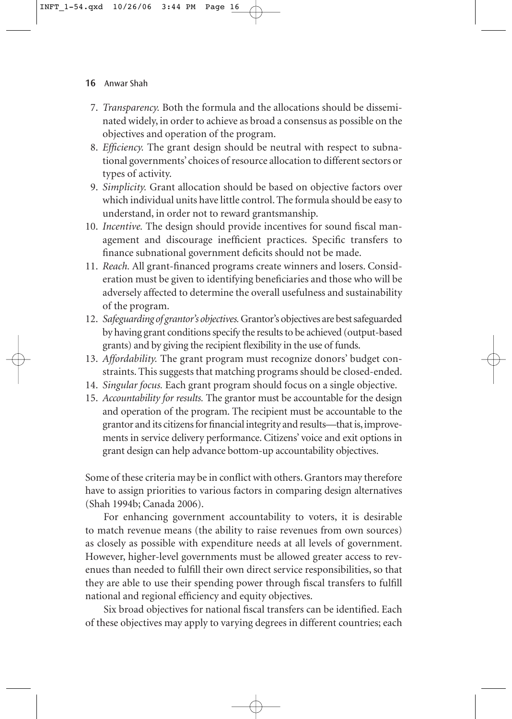- 7. *Transparency.* Both the formula and the allocations should be disseminated widely, in order to achieve as broad a consensus as possible on the objectives and operation of the program.
- 8. *Efficiency.* The grant design should be neutral with respect to subnational governments' choices of resource allocation to different sectors or types of activity.
- 9. *Simplicity.* Grant allocation should be based on objective factors over which individual units have little control. The formula should be easy to understand, in order not to reward grantsmanship.
- 10. *Incentive.* The design should provide incentives for sound fiscal management and discourage inefficient practices. Specific transfers to finance subnational government deficits should not be made.
- 11. *Reach.* All grant-financed programs create winners and losers. Consideration must be given to identifying beneficiaries and those who will be adversely affected to determine the overall usefulness and sustainability of the program.
- 12. *Safeguarding of grantor's objectives.*Grantor's objectives are best safeguarded by having grant conditions specify the results to be achieved (output-based grants) and by giving the recipient flexibility in the use of funds.
- 13. *Affordability.* The grant program must recognize donors' budget constraints. This suggests that matching programs should be closed-ended.
- 14. *Singular focus.* Each grant program should focus on a single objective.
- 15. *Accountability for results.* The grantor must be accountable for the design and operation of the program. The recipient must be accountable to the grantor and its citizens for financial integrity and results—that is,improvements in service delivery performance. Citizens' voice and exit options in grant design can help advance bottom-up accountability objectives.

Some of these criteria may be in conflict with others. Grantors may therefore have to assign priorities to various factors in comparing design alternatives (Shah 1994b; Canada 2006).

For enhancing government accountability to voters, it is desirable to match revenue means (the ability to raise revenues from own sources) as closely as possible with expenditure needs at all levels of government. However, higher-level governments must be allowed greater access to revenues than needed to fulfill their own direct service responsibilities, so that they are able to use their spending power through fiscal transfers to fulfill national and regional efficiency and equity objectives.

Six broad objectives for national fiscal transfers can be identified. Each of these objectives may apply to varying degrees in different countries; each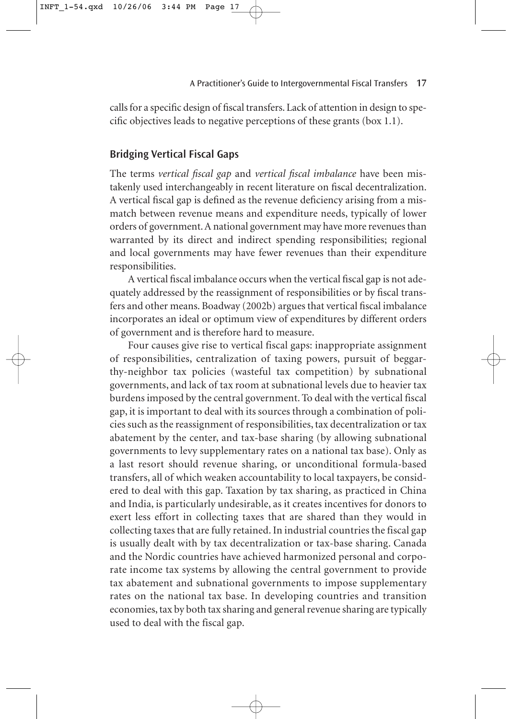# **Bridging Vertical Fiscal Gaps**

The terms *vertical fiscal gap* and *vertical fiscal imbalance* have been mistakenly used interchangeably in recent literature on fiscal decentralization. A vertical fiscal gap is defined as the revenue deficiency arising from a mismatch between revenue means and expenditure needs, typically of lower orders of government. A national government may have more revenues than warranted by its direct and indirect spending responsibilities; regional and local governments may have fewer revenues than their expenditure responsibilities.

A vertical fiscal imbalance occurs when the vertical fiscal gap is not adequately addressed by the reassignment of responsibilities or by fiscal transfers and other means. Boadway (2002b) argues that vertical fiscal imbalance incorporates an ideal or optimum view of expenditures by different orders of government and is therefore hard to measure.

Four causes give rise to vertical fiscal gaps: inappropriate assignment of responsibilities, centralization of taxing powers, pursuit of beggarthy-neighbor tax policies (wasteful tax competition) by subnational governments, and lack of tax room at subnational levels due to heavier tax burdens imposed by the central government. To deal with the vertical fiscal gap, it is important to deal with its sources through a combination of policies such as the reassignment of responsibilities, tax decentralization or tax abatement by the center, and tax-base sharing (by allowing subnational governments to levy supplementary rates on a national tax base). Only as a last resort should revenue sharing, or unconditional formula-based transfers, all of which weaken accountability to local taxpayers, be considered to deal with this gap. Taxation by tax sharing, as practiced in China and India, is particularly undesirable, as it creates incentives for donors to exert less effort in collecting taxes that are shared than they would in collecting taxes that are fully retained. In industrial countries the fiscal gap is usually dealt with by tax decentralization or tax-base sharing. Canada and the Nordic countries have achieved harmonized personal and corporate income tax systems by allowing the central government to provide tax abatement and subnational governments to impose supplementary rates on the national tax base. In developing countries and transition economies, tax by both tax sharing and general revenue sharing are typically used to deal with the fiscal gap.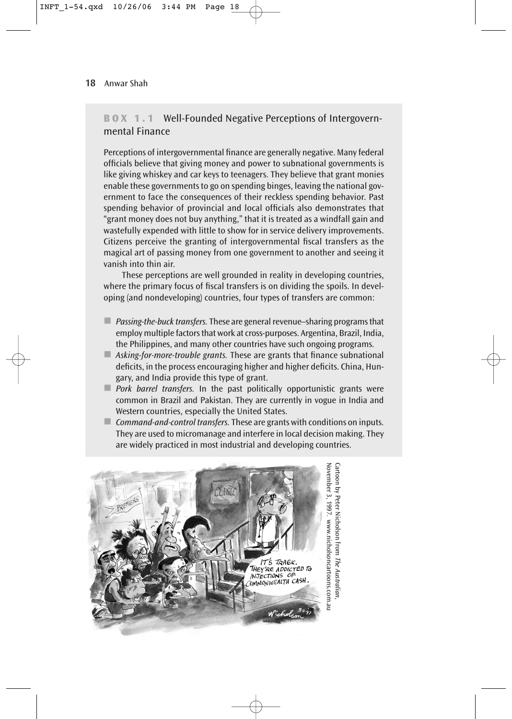**BOX 1.1** Well-Founded Negative Perceptions of Intergovernmental Finance

Perceptions of intergovernmental finance are generally negative. Many federal officials believe that giving money and power to subnational governments is like giving whiskey and car keys to teenagers. They believe that grant monies enable these governments to go on spending binges, leaving the national government to face the consequences of their reckless spending behavior. Past spending behavior of provincial and local officials also demonstrates that "grant money does not buy anything," that it is treated as a windfall gain and wastefully expended with little to show for in service delivery improvements. Citizens perceive the granting of intergovernmental fiscal transfers as the magical art of passing money from one government to another and seeing it vanish into thin air.

These perceptions are well grounded in reality in developing countries, where the primary focus of fiscal transfers is on dividing the spoils. In developing (and nondeveloping) countries, four types of transfers are common:

- *Passing-the-buck transfers*. These are general revenue–sharing programs that employ multiple factors that work at cross-purposes. Argentina, Brazil, India, the Philippines, and many other countries have such ongoing programs.
- *Asking-for-more-trouble grants.* These are grants that finance subnational deficits, in the process encouraging higher and higher deficits. China, Hungary, and India provide this type of grant.
- **Pork barrel transfers.** In the past politically opportunistic grants were common in Brazil and Pakistan. They are currently in vogue in India and Western countries, especially the United States.
- **Command-and-control transfers.** These are grants with conditions on inputs. They are used to micromanage and interfere in local decision making. They are widely practiced in most industrial and developing countries.

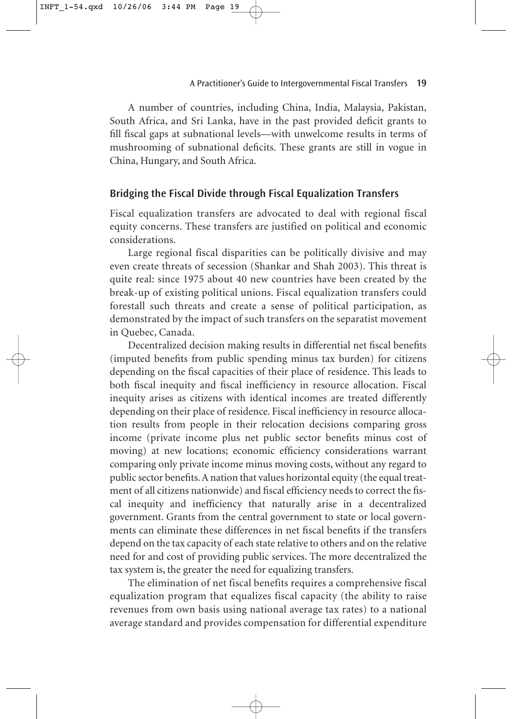A number of countries, including China, India, Malaysia, Pakistan, South Africa, and Sri Lanka, have in the past provided deficit grants to fill fiscal gaps at subnational levels—with unwelcome results in terms of mushrooming of subnational deficits. These grants are still in vogue in China, Hungary, and South Africa.

# **Bridging the Fiscal Divide through Fiscal Equalization Transfers**

10/26/06 3:44 PM

Fiscal equalization transfers are advocated to deal with regional fiscal equity concerns. These transfers are justified on political and economic considerations.

Large regional fiscal disparities can be politically divisive and may even create threats of secession (Shankar and Shah 2003). This threat is quite real: since 1975 about 40 new countries have been created by the break-up of existing political unions. Fiscal equalization transfers could forestall such threats and create a sense of political participation, as demonstrated by the impact of such transfers on the separatist movement in Quebec, Canada.

Decentralized decision making results in differential net fiscal benefits (imputed benefits from public spending minus tax burden) for citizens depending on the fiscal capacities of their place of residence. This leads to both fiscal inequity and fiscal inefficiency in resource allocation. Fiscal inequity arises as citizens with identical incomes are treated differently depending on their place of residence. Fiscal inefficiency in resource allocation results from people in their relocation decisions comparing gross income (private income plus net public sector benefits minus cost of moving) at new locations; economic efficiency considerations warrant comparing only private income minus moving costs, without any regard to public sector benefits. A nation that values horizontal equity (the equal treatment of all citizens nationwide) and fiscal efficiency needs to correct the fiscal inequity and inefficiency that naturally arise in a decentralized government. Grants from the central government to state or local governments can eliminate these differences in net fiscal benefits if the transfers depend on the tax capacity of each state relative to others and on the relative need for and cost of providing public services. The more decentralized the tax system is, the greater the need for equalizing transfers.

The elimination of net fiscal benefits requires a comprehensive fiscal equalization program that equalizes fiscal capacity (the ability to raise revenues from own basis using national average tax rates) to a national average standard and provides compensation for differential expenditure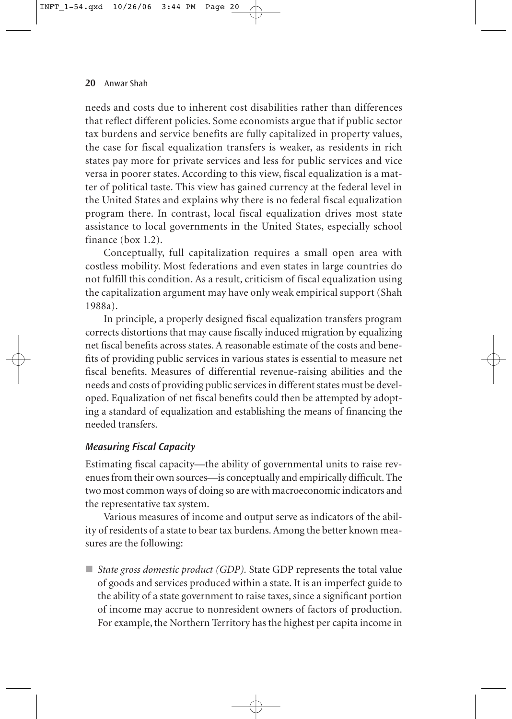needs and costs due to inherent cost disabilities rather than differences that reflect different policies. Some economists argue that if public sector tax burdens and service benefits are fully capitalized in property values, the case for fiscal equalization transfers is weaker, as residents in rich states pay more for private services and less for public services and vice versa in poorer states. According to this view, fiscal equalization is a matter of political taste. This view has gained currency at the federal level in the United States and explains why there is no federal fiscal equalization program there. In contrast, local fiscal equalization drives most state assistance to local governments in the United States, especially school finance (box 1.2).

Conceptually, full capitalization requires a small open area with costless mobility. Most federations and even states in large countries do not fulfill this condition. As a result, criticism of fiscal equalization using the capitalization argument may have only weak empirical support (Shah 1988a).

In principle, a properly designed fiscal equalization transfers program corrects distortions that may cause fiscally induced migration by equalizing net fiscal benefits across states. A reasonable estimate of the costs and benefits of providing public services in various states is essential to measure net fiscal benefits. Measures of differential revenue-raising abilities and the needs and costs of providing public services in different states must be developed. Equalization of net fiscal benefits could then be attempted by adopting a standard of equalization and establishing the means of financing the needed transfers.

# *Measuring Fiscal Capacity*

Estimating fiscal capacity—the ability of governmental units to raise revenues from their own sources—is conceptually and empirically difficult. The two most common ways of doing so are with macroeconomic indicators and the representative tax system.

Various measures of income and output serve as indicators of the ability of residents of a state to bear tax burdens. Among the better known measures are the following:

■ *State gross domestic product (GDP)*. State GDP represents the total value of goods and services produced within a state. It is an imperfect guide to the ability of a state government to raise taxes, since a significant portion of income may accrue to nonresident owners of factors of production. For example, the Northern Territory has the highest per capita income in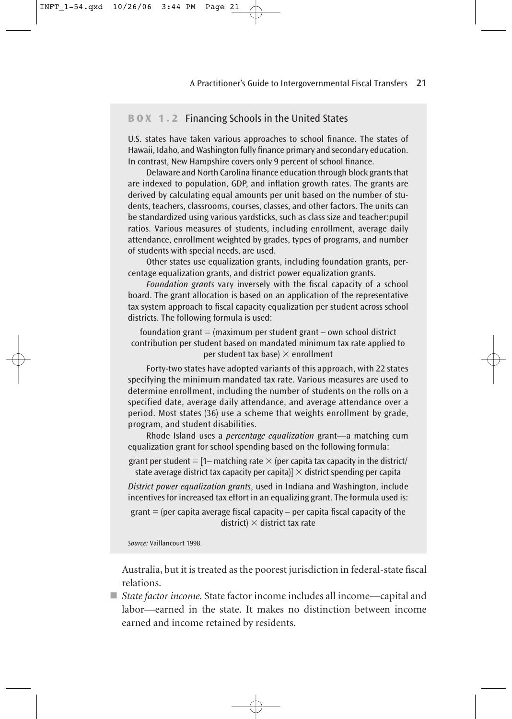#### **BOX 1.2 Financing Schools in the United States**

U.S. states have taken various approaches to school finance. The states of Hawaii, Idaho, and Washington fully finance primary and secondary education. In contrast, New Hampshire covers only 9 percent of school finance.

Delaware and North Carolina finance education through block grants that are indexed to population, GDP, and inflation growth rates. The grants are derived by calculating equal amounts per unit based on the number of students, teachers, classrooms, courses, classes, and other factors. The units can be standardized using various yardsticks, such as class size and teacher:pupil ratios. Various measures of students, including enrollment, average daily attendance, enrollment weighted by grades, types of programs, and number of students with special needs, are used.

Other states use equalization grants, including foundation grants, percentage equalization grants, and district power equalization grants.

*Foundation grants* vary inversely with the fiscal capacity of a school board. The grant allocation is based on an application of the representative tax system approach to fiscal capacity equalization per student across school districts. The following formula is used:

foundation grant = (maximum per student grant – own school district contribution per student based on mandated minimum tax rate applied to per student tax base)  $\times$  enrollment

Forty-two states have adopted variants of this approach, with 22 states specifying the minimum mandated tax rate. Various measures are used to determine enrollment, including the number of students on the rolls on a specified date, average daily attendance, and average attendance over a period. Most states (36) use a scheme that weights enrollment by grade, program, and student disabilities.

Rhode Island uses a *percentage equalization* grant—a matching cum equalization grant for school spending based on the following formula:

grant per student =  $[1-$  matching rate  $\times$  (per capita tax capacity in the district/ state average district tax capacity per capita) $\vert \times$  district spending per capita

*District power equalization grants*, used in Indiana and Washington, include incentives for increased tax effort in an equalizing grant. The formula used is:

 $grant = (per capita average fiscal capacity - per capita fiscal capacity of the$ district)  $\times$  district tax rate

*Source:* Vaillancourt 1998.

Australia, but it is treated as the poorest jurisdiction in federal-state fiscal relations.

■ *State factor income*. State factor income includes all income—capital and labor—earned in the state. It makes no distinction between income earned and income retained by residents.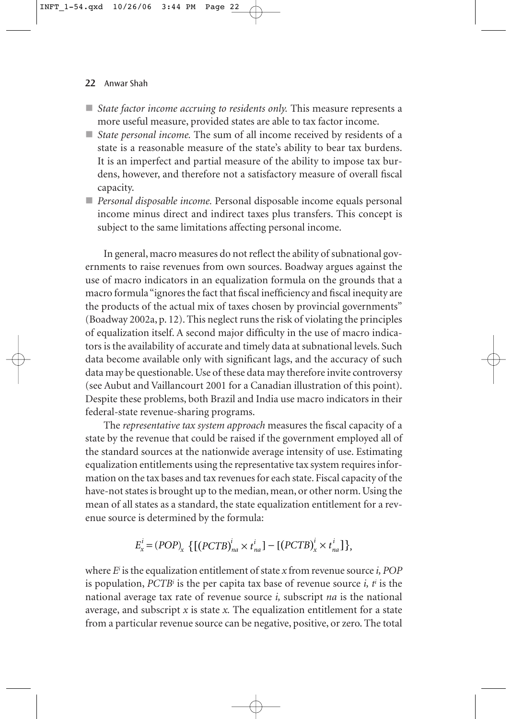- *State factor income accruing to residents only.* This measure represents a more useful measure, provided states are able to tax factor income.
- *State personal income.* The sum of all income received by residents of a state is a reasonable measure of the state's ability to bear tax burdens. It is an imperfect and partial measure of the ability to impose tax burdens, however, and therefore not a satisfactory measure of overall fiscal capacity.
- Personal disposable income. Personal disposable income equals personal income minus direct and indirect taxes plus transfers. This concept is subject to the same limitations affecting personal income.

In general, macro measures do not reflect the ability of subnational governments to raise revenues from own sources. Boadway argues against the use of macro indicators in an equalization formula on the grounds that a macro formula "ignores the fact that fiscal inefficiency and fiscal inequity are the products of the actual mix of taxes chosen by provincial governments" (Boadway 2002a, p. 12). This neglect runs the risk of violating the principles of equalization itself. A second major difficulty in the use of macro indicators is the availability of accurate and timely data at subnational levels. Such data become available only with significant lags, and the accuracy of such data may be questionable. Use of these data may therefore invite controversy (see Aubut and Vaillancourt 2001 for a Canadian illustration of this point). Despite these problems, both Brazil and India use macro indicators in their federal-state revenue-sharing programs.

The *representative tax system approach* measures the fiscal capacity of a state by the revenue that could be raised if the government employed all of the standard sources at the nationwide average intensity of use. Estimating equalization entitlements using the representative tax system requires information on the tax bases and tax revenues for each state. Fiscal capacity of the have-not states is brought up to the median, mean, or other norm. Using the mean of all states as a standard, the state equalization entitlement for a revenue source is determined by the formula:

$$
E_x^i = (POP)_x \{ [(PCTB)_{na}^i \times t_{na}^i] - [(PCTB)_x^i \times t_{na}^i] \},
$$

where *Ei* is the equalization entitlement of state *x* from revenue source *i, POP* is population, *PCTBi* is the per capita tax base of revenue source *i, ti* is the national average tax rate of revenue source *i,* subscript *na* is the national average, and subscript *x* is state *x.* The equalization entitlement for a state from a particular revenue source can be negative, positive, or zero. The total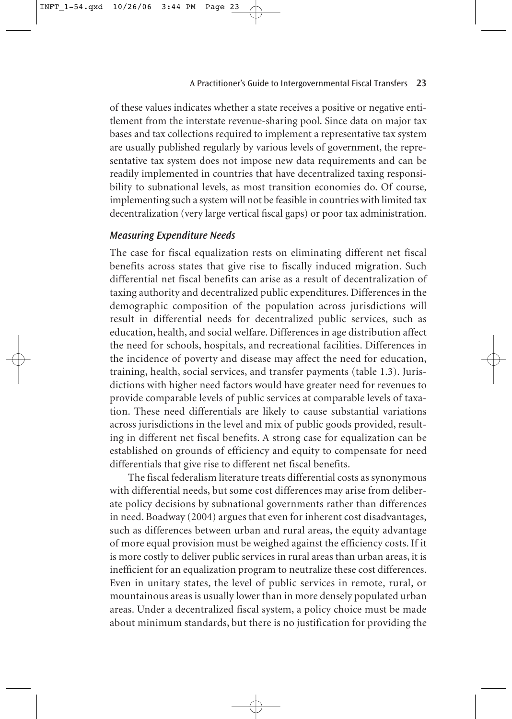of these values indicates whether a state receives a positive or negative entitlement from the interstate revenue-sharing pool. Since data on major tax bases and tax collections required to implement a representative tax system are usually published regularly by various levels of government, the representative tax system does not impose new data requirements and can be readily implemented in countries that have decentralized taxing responsibility to subnational levels, as most transition economies do. Of course, implementing such a system will not be feasible in countries with limited tax decentralization (very large vertical fiscal gaps) or poor tax administration.

# *Measuring Expenditure Needs*

The case for fiscal equalization rests on eliminating different net fiscal benefits across states that give rise to fiscally induced migration. Such differential net fiscal benefits can arise as a result of decentralization of taxing authority and decentralized public expenditures. Differences in the demographic composition of the population across jurisdictions will result in differential needs for decentralized public services, such as education, health, and social welfare. Differences in age distribution affect the need for schools, hospitals, and recreational facilities. Differences in the incidence of poverty and disease may affect the need for education, training, health, social services, and transfer payments (table 1.3). Jurisdictions with higher need factors would have greater need for revenues to provide comparable levels of public services at comparable levels of taxation. These need differentials are likely to cause substantial variations across jurisdictions in the level and mix of public goods provided, resulting in different net fiscal benefits. A strong case for equalization can be established on grounds of efficiency and equity to compensate for need differentials that give rise to different net fiscal benefits.

The fiscal federalism literature treats differential costs as synonymous with differential needs, but some cost differences may arise from deliberate policy decisions by subnational governments rather than differences in need. Boadway (2004) argues that even for inherent cost disadvantages, such as differences between urban and rural areas, the equity advantage of more equal provision must be weighed against the efficiency costs. If it is more costly to deliver public services in rural areas than urban areas, it is inefficient for an equalization program to neutralize these cost differences. Even in unitary states, the level of public services in remote, rural, or mountainous areas is usually lower than in more densely populated urban areas. Under a decentralized fiscal system, a policy choice must be made about minimum standards, but there is no justification for providing the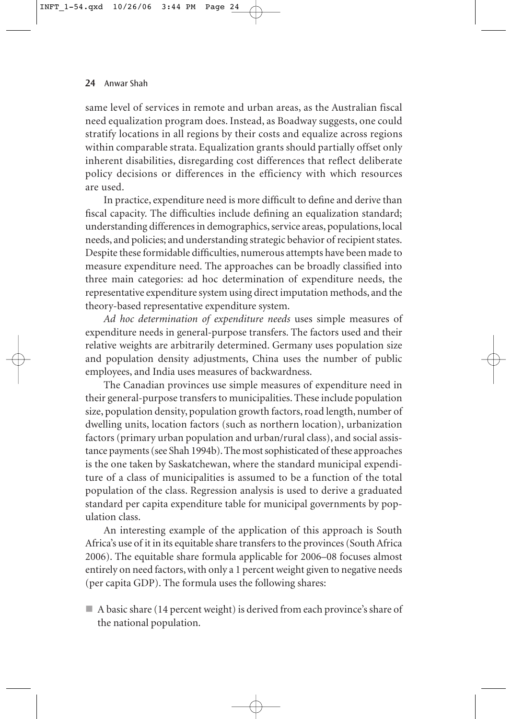same level of services in remote and urban areas, as the Australian fiscal need equalization program does. Instead, as Boadway suggests, one could stratify locations in all regions by their costs and equalize across regions within comparable strata. Equalization grants should partially offset only inherent disabilities, disregarding cost differences that reflect deliberate policy decisions or differences in the efficiency with which resources are used.

In practice, expenditure need is more difficult to define and derive than fiscal capacity. The difficulties include defining an equalization standard; understanding differences in demographics, service areas, populations, local needs, and policies; and understanding strategic behavior of recipient states. Despite these formidable difficulties, numerous attempts have been made to measure expenditure need. The approaches can be broadly classified into three main categories: ad hoc determination of expenditure needs, the representative expenditure system using direct imputation methods, and the theory-based representative expenditure system.

*Ad hoc determination of expenditure needs* uses simple measures of expenditure needs in general-purpose transfers. The factors used and their relative weights are arbitrarily determined. Germany uses population size and population density adjustments, China uses the number of public employees, and India uses measures of backwardness.

The Canadian provinces use simple measures of expenditure need in their general-purpose transfers to municipalities. These include population size, population density, population growth factors, road length, number of dwelling units, location factors (such as northern location), urbanization factors (primary urban population and urban/rural class), and social assistance payments (see Shah 1994b). The most sophisticated of these approaches is the one taken by Saskatchewan, where the standard municipal expenditure of a class of municipalities is assumed to be a function of the total population of the class. Regression analysis is used to derive a graduated standard per capita expenditure table for municipal governments by population class.

An interesting example of the application of this approach is South Africa's use of it in its equitable share transfers to the provinces (South Africa 2006). The equitable share formula applicable for 2006–08 focuses almost entirely on need factors, with only a 1 percent weight given to negative needs (per capita GDP). The formula uses the following shares:

A basic share (14 percent weight) is derived from each province's share of the national population.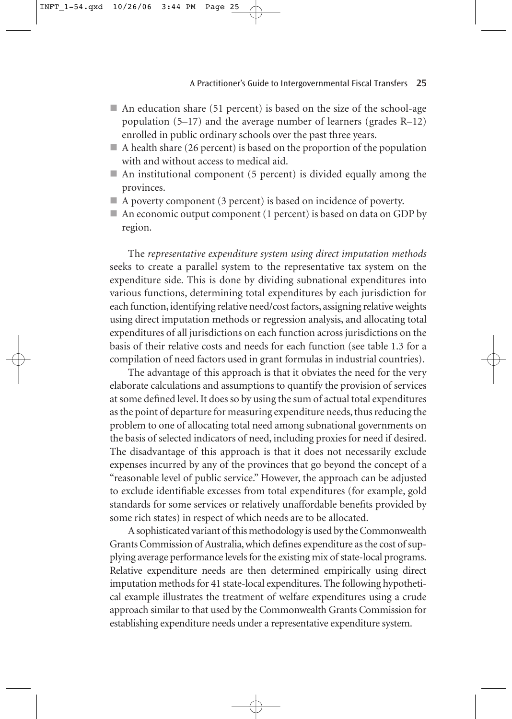- An education share (51 percent) is based on the size of the school-age population (5–17) and the average number of learners (grades R–12) enrolled in public ordinary schools over the past three years.
- A health share (26 percent) is based on the proportion of the population with and without access to medical aid.
- An institutional component (5 percent) is divided equally among the provinces.
- A poverty component (3 percent) is based on incidence of poverty.
- An economic output component (1 percent) is based on data on GDP by region.

The *representative expenditure system using direct imputation methods* seeks to create a parallel system to the representative tax system on the expenditure side. This is done by dividing subnational expenditures into various functions, determining total expenditures by each jurisdiction for each function, identifying relative need/cost factors, assigning relative weights using direct imputation methods or regression analysis, and allocating total expenditures of all jurisdictions on each function across jurisdictions on the basis of their relative costs and needs for each function (see table 1.3 for a compilation of need factors used in grant formulas in industrial countries).

The advantage of this approach is that it obviates the need for the very elaborate calculations and assumptions to quantify the provision of services at some defined level. It does so by using the sum of actual total expenditures as the point of departure for measuring expenditure needs, thus reducing the problem to one of allocating total need among subnational governments on the basis of selected indicators of need, including proxies for need if desired. The disadvantage of this approach is that it does not necessarily exclude expenses incurred by any of the provinces that go beyond the concept of a "reasonable level of public service." However, the approach can be adjusted to exclude identifiable excesses from total expenditures (for example, gold standards for some services or relatively unaffordable benefits provided by some rich states) in respect of which needs are to be allocated.

A sophisticated variant of this methodology is used by the Commonwealth Grants Commission of Australia, which defines expenditure as the cost of supplying average performance levels for the existing mix of state-local programs. Relative expenditure needs are then determined empirically using direct imputation methods for 41 state-local expenditures. The following hypothetical example illustrates the treatment of welfare expenditures using a crude approach similar to that used by the Commonwealth Grants Commission for establishing expenditure needs under a representative expenditure system.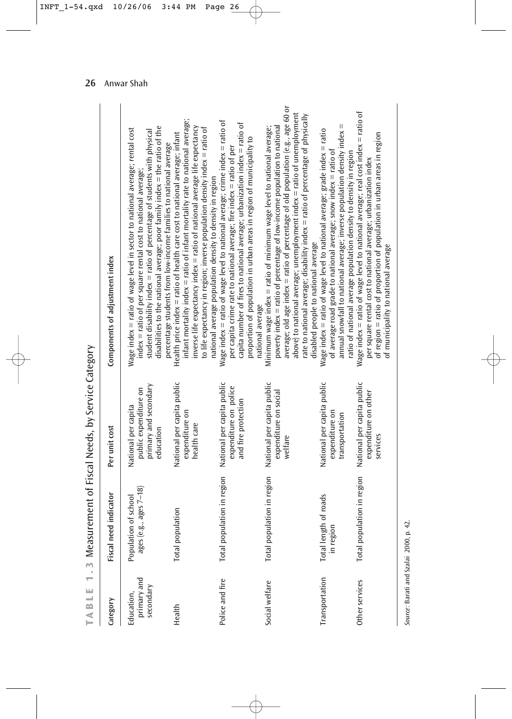|                                        |                                                | TABLE 1.3 Measurement of Fiscal Needs, by Service Category                         |                                                                                                                                                                                                                                                                                                                                                                                                                        |
|----------------------------------------|------------------------------------------------|------------------------------------------------------------------------------------|------------------------------------------------------------------------------------------------------------------------------------------------------------------------------------------------------------------------------------------------------------------------------------------------------------------------------------------------------------------------------------------------------------------------|
| Category                               | Fiscal need indicator                          | Per unit cost                                                                      | Components of adjustment index                                                                                                                                                                                                                                                                                                                                                                                         |
| primary and<br>secondary<br>Education, | ages (e.g., ages 7-18)<br>Population of school | primary and secondary<br>public expenditure on<br>National per capita<br>education | disabilities to the national average; poor family index = the ratio of the<br>Wage index = ratio of wage level in sector to national average; rental cost<br>student disability index = ratio of percentage of students with physical<br>index = ratio of per square rental cost to national average;                                                                                                                  |
| Health                                 | Total population                               | National per capita public<br>expenditure on<br>health care                        | infant mortality index = ratio of infant mortality rate to national average;<br>inverse life expectancy index $=$ ratio of national average life expectancy<br>to life expectancy in region; inverse population density index = ratio of<br>Health price index = ratio of health care cost to national average; infant<br>percentage students from low-income families to national average                             |
| Police and fire                        | Total population in region                     | National per capita public<br>expenditure on police<br>and fire protection         | Wage index = ratio of wage level to national average; crime index = ratio of<br>capita number of fires to national average; urbanization index = ratio of<br>proportion of population in urban areas in region of municipality to<br>per capita crime rate to national average; fire index = ratio of per<br>national average population density to density in region                                                  |
| Social welfare                         | Total population in region                     | National per capita public<br>expenditure on social<br>weltare                     | average; old age index = ratio of percentage of old population (e.g., age 60 or<br>above) to national average; unemployment index $=$ ratio of unemployment<br>rate to national average; disability index = ratio of percentage of physically<br>Minimum wage index = ratio of minimum wage level to national average;<br>poverty index = ratio of percentage of low-income population to national<br>national average |
| Transportation                         | Total length of roads<br>in region             | National per capita public<br>expenditure on<br>transportation                     | annual snowfall to national average; inverse population density index =<br>Wage index = ratio of wage level to national average; grade index = ratio<br>of average road grade to national average; snow index = ratio of<br>ratio of national average population density to density in region<br>disabled people to national average                                                                                   |
| Other services                         | Total population in region                     | National per capita public<br>expenditure on other<br>services                     | Wage index = ratio of wage level to national average; real cost index = ratio of<br>of region = ratio of proportion of population in urban areas in region<br>per square rental cost to national average; urbanization index<br>of municipality to national average                                                                                                                                                    |

Source: Barati and Szalai 2000, p. 42. *Source:* Barati and Szalai 2000, p. 42.

 $\overline{\phantom{a}}$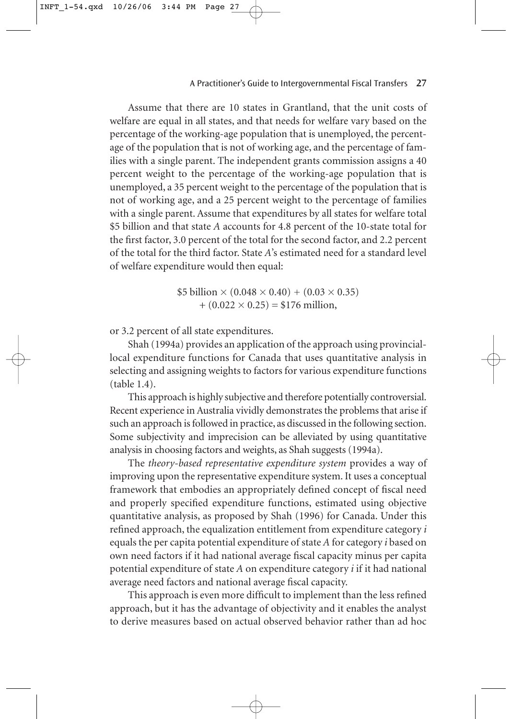Assume that there are 10 states in Grantland, that the unit costs of welfare are equal in all states, and that needs for welfare vary based on the percentage of the working-age population that is unemployed, the percentage of the population that is not of working age, and the percentage of families with a single parent. The independent grants commission assigns a 40 percent weight to the percentage of the working-age population that is unemployed, a 35 percent weight to the percentage of the population that is not of working age, and a 25 percent weight to the percentage of families with a single parent. Assume that expenditures by all states for welfare total \$5 billion and that state *A* accounts for 4.8 percent of the 10-state total for the first factor, 3.0 percent of the total for the second factor, and 2.2 percent of the total for the third factor. State *A*'s estimated need for a standard level of welfare expenditure would then equal:

> \$5 billion  $\times (0.048 \times 0.40) + (0.03 \times 0.35)$  $+(0.022 \times 0.25) = $176$  million,

or 3.2 percent of all state expenditures.

Shah (1994a) provides an application of the approach using provinciallocal expenditure functions for Canada that uses quantitative analysis in selecting and assigning weights to factors for various expenditure functions (table 1.4).

This approach is highly subjective and therefore potentially controversial. Recent experience in Australia vividly demonstrates the problems that arise if such an approach is followed in practice, as discussed in the following section. Some subjectivity and imprecision can be alleviated by using quantitative analysis in choosing factors and weights, as Shah suggests (1994a).

The *theory-based representative expenditure system* provides a way of improving upon the representative expenditure system. It uses a conceptual framework that embodies an appropriately defined concept of fiscal need and properly specified expenditure functions, estimated using objective quantitative analysis, as proposed by Shah (1996) for Canada. Under this refined approach, the equalization entitlement from expenditure category *i* equals the per capita potential expenditure of state *A* for category *i* based on own need factors if it had national average fiscal capacity minus per capita potential expenditure of state *A* on expenditure category *i* if it had national average need factors and national average fiscal capacity.

This approach is even more difficult to implement than the less refined approach, but it has the advantage of objectivity and it enables the analyst to derive measures based on actual observed behavior rather than ad hoc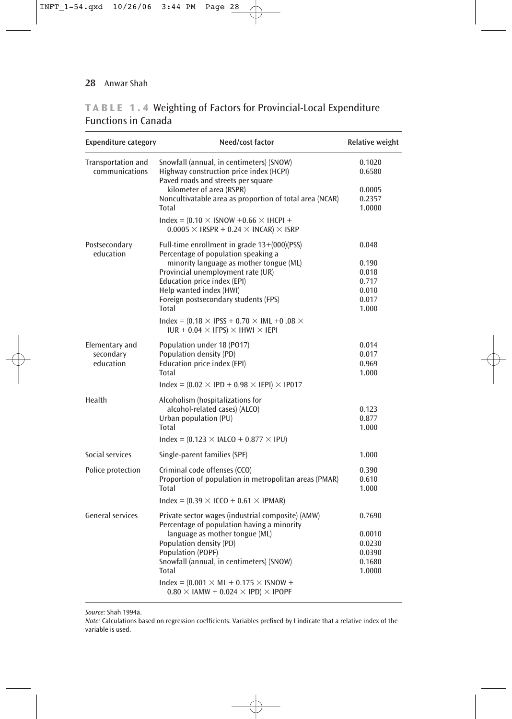# **TABLE 1.4** Weighting of Factors for Provincial-Local Expenditure Functions in Canada

| <b>Expenditure category</b> | Need/cost factor                                                                                                   | <b>Relative weight</b> |
|-----------------------------|--------------------------------------------------------------------------------------------------------------------|------------------------|
| Transportation and          | Snowfall (annual, in centimeters) (SNOW)                                                                           | 0.1020                 |
| communications              | Highway construction price index (HCPI)                                                                            | 0.6580                 |
|                             | Paved roads and streets per square                                                                                 |                        |
|                             | kilometer of area (RSPR)                                                                                           | 0.0005                 |
|                             | Noncultivatable area as proportion of total area (NCAR)                                                            | 0.2357                 |
|                             | Total                                                                                                              | 1.0000                 |
|                             | Index = $(0.10 \times$ ISNOW +0.66 $\times$ IHCPI +                                                                |                        |
|                             | $0.0005 \times$ IRSPR + 0.24 $\times$ INCAR) $\times$ ISRP                                                         |                        |
| Postsecondary               | Full-time enrollment in grade 13+(000)(PSS)                                                                        | 0.048                  |
| education                   | Percentage of population speaking a                                                                                |                        |
|                             | minority language as mother tongue (ML)                                                                            | 0.190                  |
|                             | Provincial unemployment rate (UR)                                                                                  | 0.018                  |
|                             | Education price index (EPI)                                                                                        | 0.717                  |
|                             | Help wanted index (HWI)                                                                                            | 0.010                  |
|                             | Foreign postsecondary students (FPS)                                                                               | 0.017                  |
|                             | Total                                                                                                              | 1.000                  |
|                             | Index = $(0.18 \times$ IPSS + 0.70 $\times$ IML +0.08 $\times$<br>$IUR + 0.04 \times IFPS \times IHWI \times IEPI$ |                        |
| Elementary and              | Population under 18 (PO17)                                                                                         | 0.014                  |
| secondary                   | Population density (PD)                                                                                            | 0.017                  |
| education                   | Education price index (EPI)                                                                                        | 0.969                  |
|                             | Total                                                                                                              | 1.000                  |
|                             | $Index = (0.02 \times IPD + 0.98 \times IEPI) \times IP017$                                                        |                        |
| Health                      | Alcoholism (hospitalizations for                                                                                   |                        |
|                             | alcohol-related cases) (ALCO)                                                                                      | 0.123                  |
|                             | Urban population (PU)                                                                                              | 0.877                  |
|                             | Total                                                                                                              | 1.000                  |
|                             |                                                                                                                    |                        |
|                             | $Index = (0.123 \times IALCO + 0.877 \times IPU)$                                                                  |                        |
| Social services             | Single-parent families (SPF)                                                                                       | 1.000                  |
| Police protection           | Criminal code offenses (CCO)                                                                                       | 0.390                  |
|                             | Proportion of population in metropolitan areas (PMAR)                                                              | 0.610                  |
|                             | Total                                                                                                              | 1.000                  |
|                             | $Index = (0.39 \times ICCO + 0.61 \times IPMAR)$                                                                   |                        |
| <b>General services</b>     | Private sector wages (industrial composite) (AMW)                                                                  | 0.7690                 |
|                             | Percentage of population having a minority                                                                         |                        |
|                             | language as mother tongue (ML)                                                                                     | 0.0010                 |
|                             | Population density (PD)                                                                                            | 0.0230                 |
|                             | Population (POPF)                                                                                                  | 0.0390                 |
|                             | Snowfall (annual, in centimeters) (SNOW)                                                                           | 0.1680                 |
|                             | Total                                                                                                              | 1.0000                 |
|                             |                                                                                                                    |                        |
|                             | $Index = (0.001 \times ML + 0.175 \times ISNOW +$<br>$0.80 \times$ IAMW + 0.024 $\times$ IPD) $\times$ IPOPF       |                        |

*Source:* Shah 1994a.

*Note:* Calculations based on regression coefficients. Variables prefixed by I indicate that a relative index of the variable is used.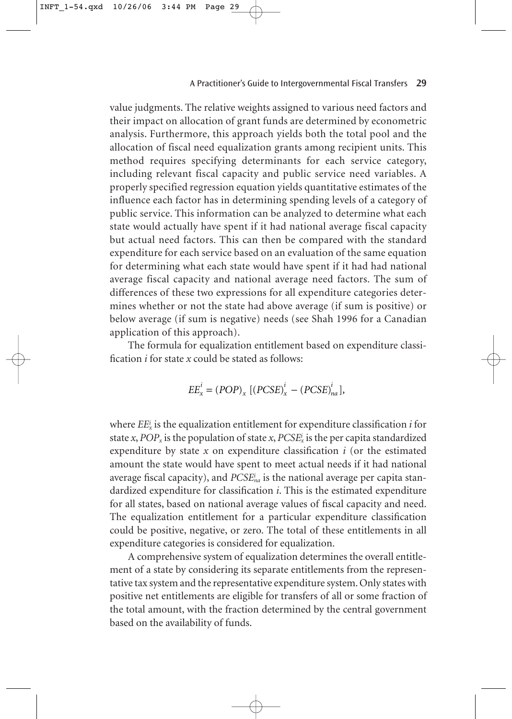value judgments. The relative weights assigned to various need factors and their impact on allocation of grant funds are determined by econometric analysis. Furthermore, this approach yields both the total pool and the allocation of fiscal need equalization grants among recipient units. This method requires specifying determinants for each service category, including relevant fiscal capacity and public service need variables. A properly specified regression equation yields quantitative estimates of the influence each factor has in determining spending levels of a category of public service. This information can be analyzed to determine what each state would actually have spent if it had national average fiscal capacity but actual need factors. This can then be compared with the standard expenditure for each service based on an evaluation of the same equation for determining what each state would have spent if it had had national average fiscal capacity and national average need factors. The sum of differences of these two expressions for all expenditure categories determines whether or not the state had above average (if sum is positive) or below average (if sum is negative) needs (see Shah 1996 for a Canadian application of this approach).

The formula for equalization entitlement based on expenditure classification *i* for state *x* could be stated as follows:

$$
EE_x^i = (POP)_x [(PCSE)_x^i - (PCSE)_{na}^i],
$$

where *EEi <sup>x</sup>* is the equalization entitlement for expenditure classification *i* for state *x*,  $POP_x$  is the population of state *x*,  $PCSE^i_x$  is the per capita standardized expenditure by state *x* on expenditure classification *i* (or the estimated amount the state would have spent to meet actual needs if it had national average fiscal capacity), and *PCSE<sup>i</sup>na* is the national average per capita standardized expenditure for classification *i*. This is the estimated expenditure for all states, based on national average values of fiscal capacity and need. The equalization entitlement for a particular expenditure classification could be positive, negative, or zero. The total of these entitlements in all expenditure categories is considered for equalization.

A comprehensive system of equalization determines the overall entitlement of a state by considering its separate entitlements from the representative tax system and the representative expenditure system. Only states with positive net entitlements are eligible for transfers of all or some fraction of the total amount, with the fraction determined by the central government based on the availability of funds.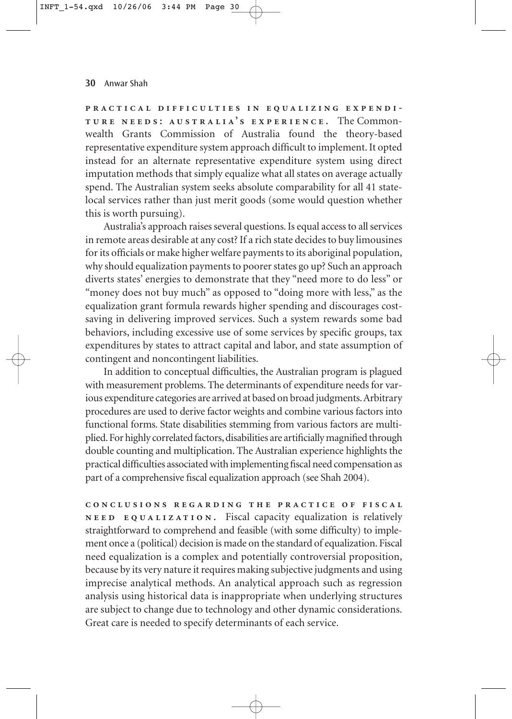**practical difficulties in equalizing expenditure needs: australia's experience.** The Commonwealth Grants Commission of Australia found the theory-based representative expenditure system approach difficult to implement. It opted instead for an alternate representative expenditure system using direct imputation methods that simply equalize what all states on average actually spend. The Australian system seeks absolute comparability for all 41 statelocal services rather than just merit goods (some would question whether this is worth pursuing).

Australia's approach raises several questions. Is equal access to all services in remote areas desirable at any cost? If a rich state decides to buy limousines for its officials or make higher welfare payments to its aboriginal population, why should equalization payments to poorer states go up? Such an approach diverts states' energies to demonstrate that they "need more to do less" or "money does not buy much" as opposed to "doing more with less," as the equalization grant formula rewards higher spending and discourages costsaving in delivering improved services. Such a system rewards some bad behaviors, including excessive use of some services by specific groups, tax expenditures by states to attract capital and labor, and state assumption of contingent and noncontingent liabilities.

In addition to conceptual difficulties, the Australian program is plagued with measurement problems. The determinants of expenditure needs for various expenditure categories are arrived at based on broad judgments.Arbitrary procedures are used to derive factor weights and combine various factors into functional forms. State disabilities stemming from various factors are multiplied. For highly correlated factors, disabilities are artificially magnified through double counting and multiplication. The Australian experience highlights the practical difficulties associated with implementing fiscal need compensation as part of a comprehensive fiscal equalization approach (see Shah 2004).

**conclusions regarding the practice of fiscal need equalization.** Fiscal capacity equalization is relatively straightforward to comprehend and feasible (with some difficulty) to implement once a (political) decision is made on the standard of equalization. Fiscal need equalization is a complex and potentially controversial proposition, because by its very nature it requires making subjective judgments and using imprecise analytical methods. An analytical approach such as regression analysis using historical data is inappropriate when underlying structures are subject to change due to technology and other dynamic considerations. Great care is needed to specify determinants of each service.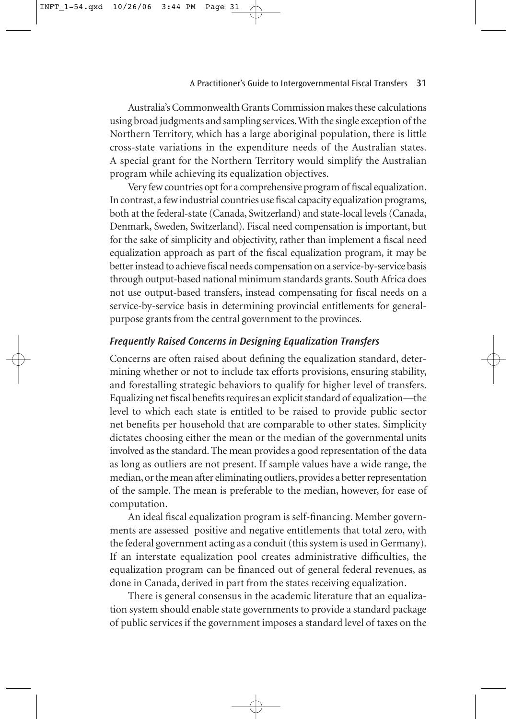#### 10/26/06 3:44 PM

### A Practitioner's Guide to Intergovernmental Fiscal Transfers **31**

Australia's Commonwealth Grants Commission makes these calculations using broad judgments and sampling services.With the single exception of the Northern Territory, which has a large aboriginal population, there is little cross-state variations in the expenditure needs of the Australian states. A special grant for the Northern Territory would simplify the Australian program while achieving its equalization objectives.

Very few countries opt for a comprehensive program of fiscal equalization. In contrast,a few industrial countries use fiscal capacity equalization programs, both at the federal-state (Canada, Switzerland) and state-local levels (Canada, Denmark, Sweden, Switzerland). Fiscal need compensation is important, but for the sake of simplicity and objectivity, rather than implement a fiscal need equalization approach as part of the fiscal equalization program, it may be better instead to achieve fiscal needs compensation on a service-by-service basis through output-based national minimum standards grants. South Africa does not use output-based transfers, instead compensating for fiscal needs on a service-by-service basis in determining provincial entitlements for generalpurpose grants from the central government to the provinces.

# *Frequently Raised Concerns in Designing Equalization Transfers*

Concerns are often raised about defining the equalization standard, determining whether or not to include tax efforts provisions, ensuring stability, and forestalling strategic behaviors to qualify for higher level of transfers. Equalizing net fiscal benefits requires an explicit standard of equalization—the level to which each state is entitled to be raised to provide public sector net benefits per household that are comparable to other states. Simplicity dictates choosing either the mean or the median of the governmental units involved as the standard. The mean provides a good representation of the data as long as outliers are not present. If sample values have a wide range, the median, or the mean after eliminating outliers, provides a better representation of the sample. The mean is preferable to the median, however, for ease of computation.

An ideal fiscal equalization program is self-financing. Member governments are assessed positive and negative entitlements that total zero, with the federal government acting as a conduit (this system is used in Germany). If an interstate equalization pool creates administrative difficulties, the equalization program can be financed out of general federal revenues, as done in Canada, derived in part from the states receiving equalization.

There is general consensus in the academic literature that an equalization system should enable state governments to provide a standard package of public services if the government imposes a standard level of taxes on the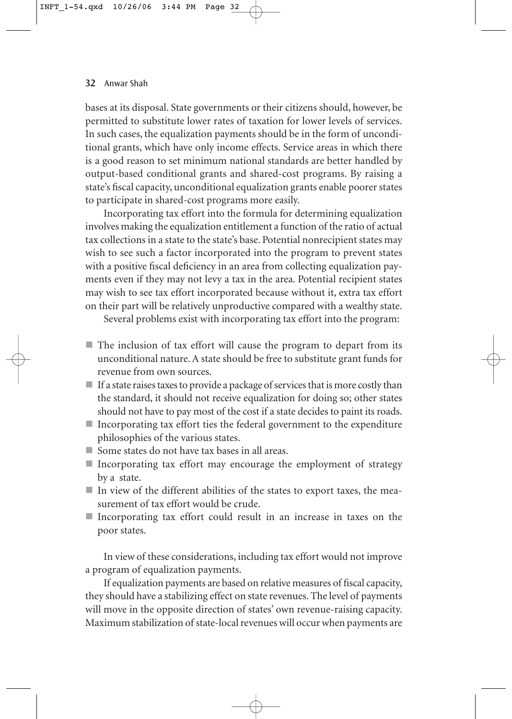bases at its disposal. State governments or their citizens should, however, be permitted to substitute lower rates of taxation for lower levels of services. In such cases, the equalization payments should be in the form of unconditional grants, which have only income effects. Service areas in which there is a good reason to set minimum national standards are better handled by output-based conditional grants and shared-cost programs. By raising a state's fiscal capacity, unconditional equalization grants enable poorer states to participate in shared-cost programs more easily.

Incorporating tax effort into the formula for determining equalization involves making the equalization entitlement a function of the ratio of actual tax collections in a state to the state's base. Potential nonrecipient states may wish to see such a factor incorporated into the program to prevent states with a positive fiscal deficiency in an area from collecting equalization payments even if they may not levy a tax in the area. Potential recipient states may wish to see tax effort incorporated because without it, extra tax effort on their part will be relatively unproductive compared with a wealthy state.

Several problems exist with incorporating tax effort into the program:

- The inclusion of tax effort will cause the program to depart from its unconditional nature. A state should be free to substitute grant funds for revenue from own sources.
- If a state raises taxes to provide a package of services that is more costly than the standard, it should not receive equalization for doing so; other states should not have to pay most of the cost if a state decides to paint its roads.
- Incorporating tax effort ties the federal government to the expenditure philosophies of the various states.
- Some states do not have tax bases in all areas.
- Incorporating tax effort may encourage the employment of strategy by a state.
- $\blacksquare$  In view of the different abilities of the states to export taxes, the measurement of tax effort would be crude.
- Incorporating tax effort could result in an increase in taxes on the poor states.

In view of these considerations, including tax effort would not improve a program of equalization payments.

If equalization payments are based on relative measures of fiscal capacity, they should have a stabilizing effect on state revenues. The level of payments will move in the opposite direction of states' own revenue-raising capacity. Maximum stabilization of state-local revenues will occur when payments are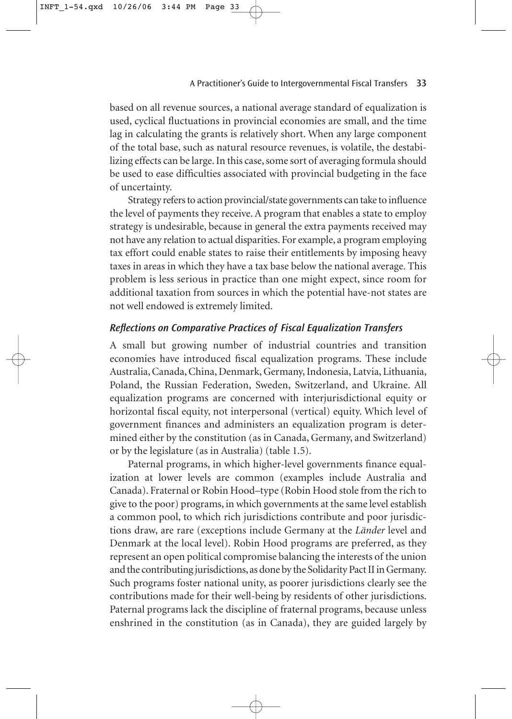based on all revenue sources, a national average standard of equalization is used, cyclical fluctuations in provincial economies are small, and the time lag in calculating the grants is relatively short. When any large component of the total base, such as natural resource revenues, is volatile, the destabilizing effects can be large. In this case, some sort of averaging formula should be used to ease difficulties associated with provincial budgeting in the face of uncertainty.

 $10/26/06$  3:44

Strategy refers to action provincial/state governments can take to influence the level of payments they receive. A program that enables a state to employ strategy is undesirable, because in general the extra payments received may not have any relation to actual disparities. For example, a program employing tax effort could enable states to raise their entitlements by imposing heavy taxes in areas in which they have a tax base below the national average. This problem is less serious in practice than one might expect, since room for additional taxation from sources in which the potential have-not states are not well endowed is extremely limited.

# *Reflections on Comparative Practices of Fiscal Equalization Transfers*

A small but growing number of industrial countries and transition economies have introduced fiscal equalization programs. These include Australia, Canada, China, Denmark, Germany, Indonesia, Latvia, Lithuania, Poland, the Russian Federation, Sweden, Switzerland, and Ukraine. All equalization programs are concerned with interjurisdictional equity or horizontal fiscal equity, not interpersonal (vertical) equity. Which level of government finances and administers an equalization program is determined either by the constitution (as in Canada, Germany, and Switzerland) or by the legislature (as in Australia) (table 1.5).

Paternal programs, in which higher-level governments finance equalization at lower levels are common (examples include Australia and Canada). Fraternal or Robin Hood–type (Robin Hood stole from the rich to give to the poor) programs, in which governments at the same level establish a common pool, to which rich jurisdictions contribute and poor jurisdictions draw, are rare (exceptions include Germany at the *Länder* level and Denmark at the local level). Robin Hood programs are preferred, as they represent an open political compromise balancing the interests of the union and the contributing jurisdictions, as done by the Solidarity Pact II in Germany. Such programs foster national unity, as poorer jurisdictions clearly see the contributions made for their well-being by residents of other jurisdictions. Paternal programs lack the discipline of fraternal programs, because unless enshrined in the constitution (as in Canada), they are guided largely by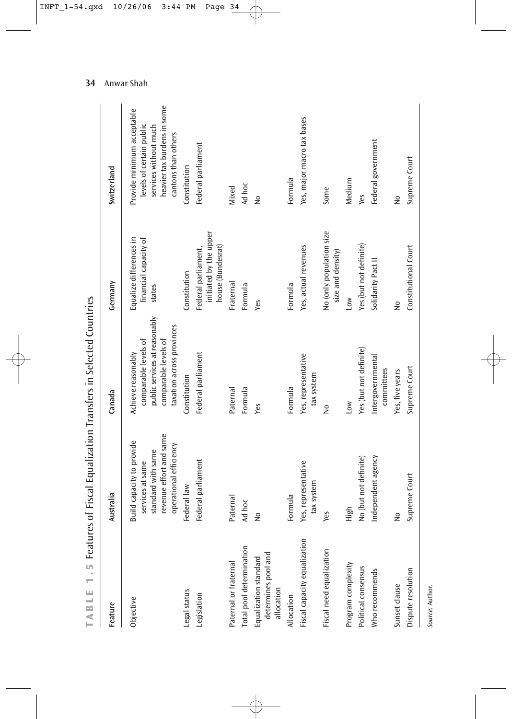| ľ |
|---|
|   |
|   |
|   |
|   |
| Ĭ |
|   |
|   |
|   |
|   |
|   |
|   |
|   |
| l |
|   |
| Ì |
|   |
|   |
|   |
| I |
|   |
|   |
|   |

Н

| TABLE                                                      |                                                                                                                          | 1.5 Features of Fiscal Equalization Transfers in Selected Countries                                                              |                                                                    |                                                                                                                                       |
|------------------------------------------------------------|--------------------------------------------------------------------------------------------------------------------------|----------------------------------------------------------------------------------------------------------------------------------|--------------------------------------------------------------------|---------------------------------------------------------------------------------------------------------------------------------------|
| Feature                                                    | Australia                                                                                                                | Canada                                                                                                                           | Germany                                                            | Switzerland                                                                                                                           |
| Objective                                                  | revenue effort and same<br>Build capacity to provide<br>operational efficiency<br>standard with same<br>services at same | public services at reasonably<br>taxation across provinces<br>comparable levels of<br>comparable levels of<br>Achieve reasonably | Equalize differences in<br>financial capacity of<br>states         | heavier tax burdens in some<br>Provide minimum acceptable<br>levels of certain public<br>services without much<br>cantons than others |
| Legal status                                               | Federal law                                                                                                              | Constitution                                                                                                                     | Constitution                                                       | Constitution                                                                                                                          |
| Legislation                                                | Federal parliament                                                                                                       | Federal parliament                                                                                                               | initiated by the upper<br>house (Bundesrat)<br>Federal parliament, | Federal parliament                                                                                                                    |
| Paternal or fraternal                                      | Paternal                                                                                                                 | Paternal                                                                                                                         | Fraternal                                                          | Mixed                                                                                                                                 |
| Total pool determination                                   | Ad hoc                                                                                                                   | Formula                                                                                                                          | Formula                                                            | Ad hoc                                                                                                                                |
| determines pool and<br>Equalization standard<br>allocation | $\frac{1}{2}$                                                                                                            | Yes                                                                                                                              | Yes                                                                | $\frac{1}{2}$                                                                                                                         |
| Allocation                                                 | Formula                                                                                                                  | Formula                                                                                                                          | Formula                                                            | Formula                                                                                                                               |
| Fiscal capacity equalization                               | Yes, representative<br>tax system                                                                                        | Yes, representative<br>tax system                                                                                                | Yes, actual revenues                                               | Yes, major macro tax bases                                                                                                            |
| Fiscal need equalization                                   | Yes                                                                                                                      | $\frac{1}{2}$                                                                                                                    | No (only population size<br>size and density)                      | Some                                                                                                                                  |
| Program complexity                                         | High                                                                                                                     | $\leq$                                                                                                                           | Low                                                                | Medium                                                                                                                                |
| Political consensus                                        | No (but not definite)                                                                                                    | Yes (but not definite)                                                                                                           | Yes (but not definite)                                             | Yes                                                                                                                                   |
| Who recommends                                             | Independent agency                                                                                                       | Intergovernmental<br>committees                                                                                                  | Solidarity Pact II                                                 | Federal government                                                                                                                    |
| Sunset clause                                              | $\frac{1}{2}$                                                                                                            | Yes, five years                                                                                                                  | $\frac{1}{2}$                                                      | $\frac{1}{2}$                                                                                                                         |
| Dispute resolution                                         | Supreme Court                                                                                                            | Supreme Court                                                                                                                    | Constitutional Court                                               | Supreme Court                                                                                                                         |
| Source: Author.                                            |                                                                                                                          |                                                                                                                                  |                                                                    |                                                                                                                                       |

**34** Anwar Shah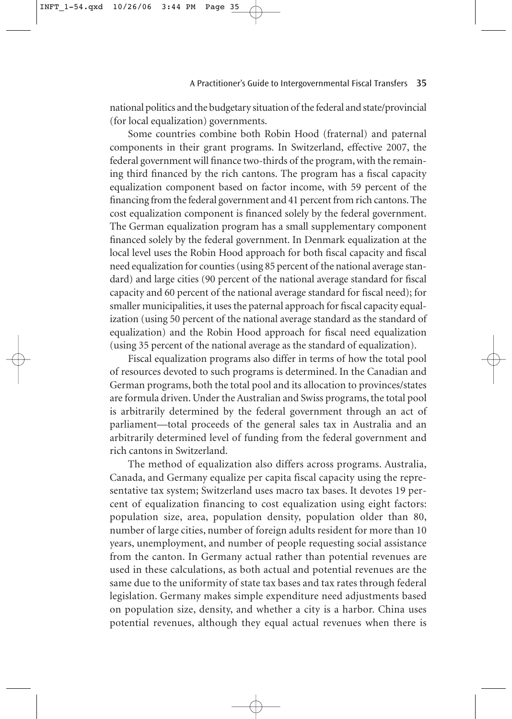national politics and the budgetary situation of the federal and state/provincial (for local equalization) governments.

Some countries combine both Robin Hood (fraternal) and paternal components in their grant programs. In Switzerland, effective 2007, the federal government will finance two-thirds of the program, with the remaining third financed by the rich cantons. The program has a fiscal capacity equalization component based on factor income, with 59 percent of the financing from the federal government and 41 percent from rich cantons. The cost equalization component is financed solely by the federal government. The German equalization program has a small supplementary component financed solely by the federal government. In Denmark equalization at the local level uses the Robin Hood approach for both fiscal capacity and fiscal need equalization for counties (using 85 percent of the national average standard) and large cities (90 percent of the national average standard for fiscal capacity and 60 percent of the national average standard for fiscal need); for smaller municipalities, it uses the paternal approach for fiscal capacity equalization (using 50 percent of the national average standard as the standard of equalization) and the Robin Hood approach for fiscal need equalization (using 35 percent of the national average as the standard of equalization).

Fiscal equalization programs also differ in terms of how the total pool of resources devoted to such programs is determined. In the Canadian and German programs, both the total pool and its allocation to provinces/states are formula driven. Under the Australian and Swiss programs, the total pool is arbitrarily determined by the federal government through an act of parliament—total proceeds of the general sales tax in Australia and an arbitrarily determined level of funding from the federal government and rich cantons in Switzerland.

The method of equalization also differs across programs. Australia, Canada, and Germany equalize per capita fiscal capacity using the representative tax system; Switzerland uses macro tax bases. It devotes 19 percent of equalization financing to cost equalization using eight factors: population size, area, population density, population older than 80, number of large cities, number of foreign adults resident for more than 10 years, unemployment, and number of people requesting social assistance from the canton. In Germany actual rather than potential revenues are used in these calculations, as both actual and potential revenues are the same due to the uniformity of state tax bases and tax rates through federal legislation. Germany makes simple expenditure need adjustments based on population size, density, and whether a city is a harbor. China uses potential revenues, although they equal actual revenues when there is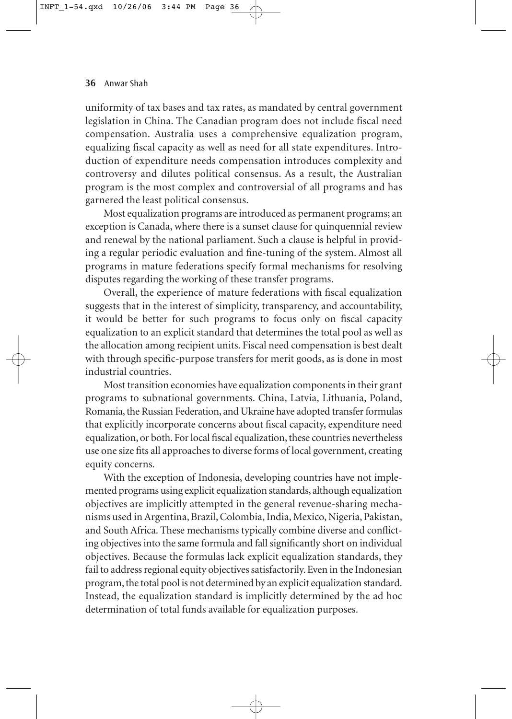uniformity of tax bases and tax rates, as mandated by central government legislation in China. The Canadian program does not include fiscal need compensation. Australia uses a comprehensive equalization program, equalizing fiscal capacity as well as need for all state expenditures. Introduction of expenditure needs compensation introduces complexity and controversy and dilutes political consensus. As a result, the Australian program is the most complex and controversial of all programs and has garnered the least political consensus.

Most equalization programs are introduced as permanent programs; an exception is Canada, where there is a sunset clause for quinquennial review and renewal by the national parliament. Such a clause is helpful in providing a regular periodic evaluation and fine-tuning of the system. Almost all programs in mature federations specify formal mechanisms for resolving disputes regarding the working of these transfer programs.

Overall, the experience of mature federations with fiscal equalization suggests that in the interest of simplicity, transparency, and accountability, it would be better for such programs to focus only on fiscal capacity equalization to an explicit standard that determines the total pool as well as the allocation among recipient units. Fiscal need compensation is best dealt with through specific-purpose transfers for merit goods, as is done in most industrial countries.

Most transition economies have equalization components in their grant programs to subnational governments. China, Latvia, Lithuania, Poland, Romania, the Russian Federation, and Ukraine have adopted transfer formulas that explicitly incorporate concerns about fiscal capacity, expenditure need equalization, or both. For local fiscal equalization, these countries nevertheless use one size fits all approaches to diverse forms of local government, creating equity concerns.

With the exception of Indonesia, developing countries have not implemented programs using explicit equalization standards, although equalization objectives are implicitly attempted in the general revenue-sharing mechanisms used in Argentina, Brazil, Colombia, India, Mexico, Nigeria, Pakistan, and South Africa. These mechanisms typically combine diverse and conflicting objectives into the same formula and fall significantly short on individual objectives. Because the formulas lack explicit equalization standards, they fail to address regional equity objectives satisfactorily. Even in the Indonesian program, the total pool is not determined by an explicit equalization standard. Instead, the equalization standard is implicitly determined by the ad hoc determination of total funds available for equalization purposes.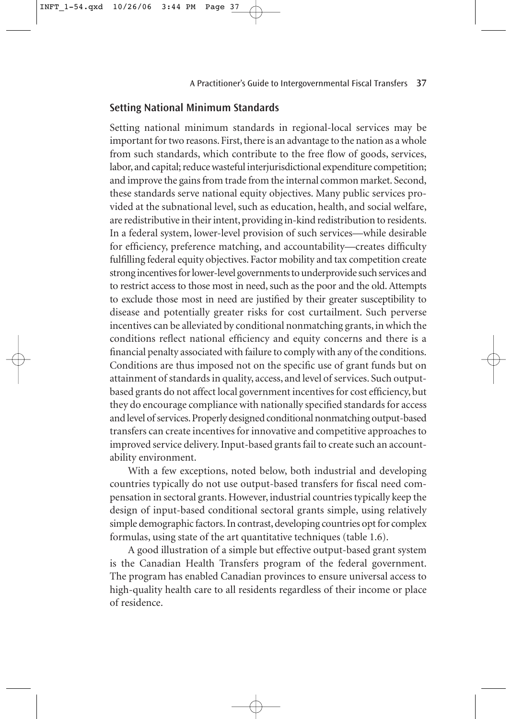# **Setting National Minimum Standards**

Setting national minimum standards in regional-local services may be important for two reasons. First, there is an advantage to the nation as a whole from such standards, which contribute to the free flow of goods, services, labor, and capital; reduce wasteful interjurisdictional expenditure competition; and improve the gains from trade from the internal common market. Second, these standards serve national equity objectives. Many public services provided at the subnational level, such as education, health, and social welfare, are redistributive in their intent, providing in-kind redistribution to residents. In a federal system, lower-level provision of such services—while desirable for efficiency, preference matching, and accountability—creates difficulty fulfilling federal equity objectives. Factor mobility and tax competition create strong incentives for lower-level governments to underprovide such services and to restrict access to those most in need, such as the poor and the old. Attempts to exclude those most in need are justified by their greater susceptibility to disease and potentially greater risks for cost curtailment. Such perverse incentives can be alleviated by conditional nonmatching grants, in which the conditions reflect national efficiency and equity concerns and there is a financial penalty associated with failure to comply with any of the conditions. Conditions are thus imposed not on the specific use of grant funds but on attainment of standards in quality, access, and level of services. Such outputbased grants do not affect local government incentives for cost efficiency, but they do encourage compliance with nationally specified standards for access and level of services.Properly designed conditional nonmatching output-based transfers can create incentives for innovative and competitive approaches to improved service delivery. Input-based grants fail to create such an accountability environment.

With a few exceptions, noted below, both industrial and developing countries typically do not use output-based transfers for fiscal need compensation in sectoral grants. However, industrial countries typically keep the design of input-based conditional sectoral grants simple, using relatively simple demographic factors. In contrast, developing countries opt for complex formulas, using state of the art quantitative techniques (table 1.6).

A good illustration of a simple but effective output-based grant system is the Canadian Health Transfers program of the federal government. The program has enabled Canadian provinces to ensure universal access to high-quality health care to all residents regardless of their income or place of residence.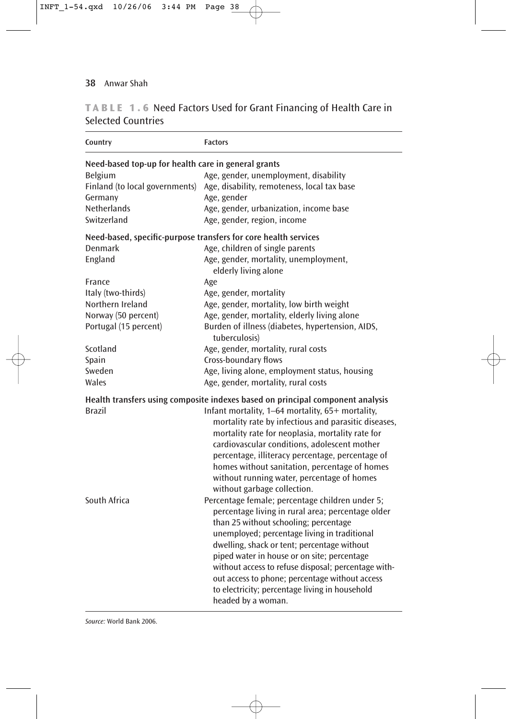# **TABLE 1.6** Need Factors Used for Grant Financing of Health Care in Selected Countries

| Country                                             | <b>Factors</b>                                                                                                                                                                                                                                                                                                                                                                                                                                                                   |
|-----------------------------------------------------|----------------------------------------------------------------------------------------------------------------------------------------------------------------------------------------------------------------------------------------------------------------------------------------------------------------------------------------------------------------------------------------------------------------------------------------------------------------------------------|
| Need-based top-up for health care in general grants |                                                                                                                                                                                                                                                                                                                                                                                                                                                                                  |
| Belgium                                             | Age, gender, unemployment, disability                                                                                                                                                                                                                                                                                                                                                                                                                                            |
| Finland (to local governments)                      | Age, disability, remoteness, local tax base                                                                                                                                                                                                                                                                                                                                                                                                                                      |
| Germany                                             | Age, gender                                                                                                                                                                                                                                                                                                                                                                                                                                                                      |
| <b>Netherlands</b>                                  | Age, gender, urbanization, income base                                                                                                                                                                                                                                                                                                                                                                                                                                           |
| Switzerland                                         | Age, gender, region, income                                                                                                                                                                                                                                                                                                                                                                                                                                                      |
|                                                     | Need-based, specific-purpose transfers for core health services                                                                                                                                                                                                                                                                                                                                                                                                                  |
| Denmark                                             | Age, children of single parents                                                                                                                                                                                                                                                                                                                                                                                                                                                  |
| England                                             | Age, gender, mortality, unemployment,                                                                                                                                                                                                                                                                                                                                                                                                                                            |
|                                                     | elderly living alone                                                                                                                                                                                                                                                                                                                                                                                                                                                             |
| France                                              | Age                                                                                                                                                                                                                                                                                                                                                                                                                                                                              |
| Italy (two-thirds)                                  | Age, gender, mortality                                                                                                                                                                                                                                                                                                                                                                                                                                                           |
| Northern Ireland                                    | Age, gender, mortality, low birth weight                                                                                                                                                                                                                                                                                                                                                                                                                                         |
| Norway (50 percent)                                 | Age, gender, mortality, elderly living alone                                                                                                                                                                                                                                                                                                                                                                                                                                     |
| Portugal (15 percent)                               | Burden of illness (diabetes, hypertension, AIDS,<br>tuberculosis)                                                                                                                                                                                                                                                                                                                                                                                                                |
| Scotland                                            | Age, gender, mortality, rural costs                                                                                                                                                                                                                                                                                                                                                                                                                                              |
| Spain                                               | Cross-boundary flows                                                                                                                                                                                                                                                                                                                                                                                                                                                             |
| Sweden                                              | Age, living alone, employment status, housing                                                                                                                                                                                                                                                                                                                                                                                                                                    |
| Wales                                               | Age, gender, mortality, rural costs                                                                                                                                                                                                                                                                                                                                                                                                                                              |
| <b>Brazil</b>                                       | Health transfers using composite indexes based on principal component analysis<br>Infant mortality, 1-64 mortality, 65+ mortality,<br>mortality rate by infectious and parasitic diseases,<br>mortality rate for neoplasia, mortality rate for<br>cardiovascular conditions, adolescent mother<br>percentage, illiteracy percentage, percentage of<br>homes without sanitation, percentage of homes<br>without running water, percentage of homes<br>without garbage collection. |
| South Africa                                        | Percentage female; percentage children under 5;<br>percentage living in rural area; percentage older<br>than 25 without schooling; percentage<br>unemployed; percentage living in traditional<br>dwelling, shack or tent; percentage without<br>piped water in house or on site; percentage<br>without access to refuse disposal; percentage with-<br>out access to phone; percentage without access<br>to electricity; percentage living in household<br>headed by a woman.     |

*Source:* World Bank 2006.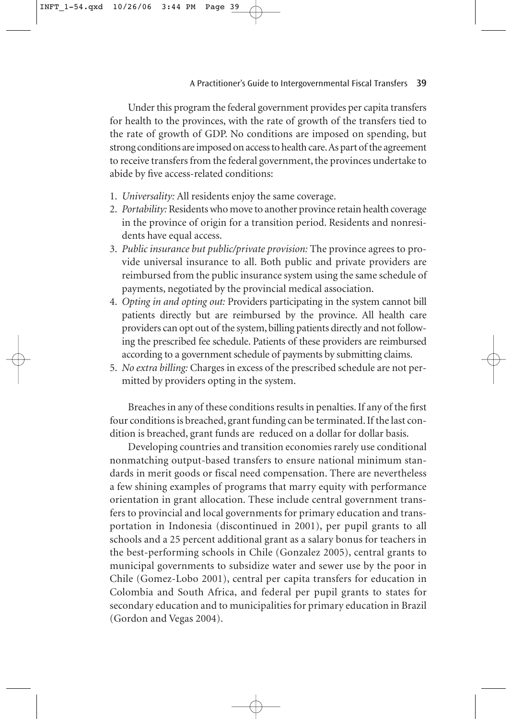#### $10/26/06$  3:44

#### A Practitioner's Guide to Intergovernmental Fiscal Transfers **39**

Under this program the federal government provides per capita transfers for health to the provinces, with the rate of growth of the transfers tied to the rate of growth of GDP. No conditions are imposed on spending, but strong conditions are imposed on access to health care.As part of the agreement to receive transfers from the federal government, the provinces undertake to abide by five access-related conditions:

- 1. *Universality:* All residents enjoy the same coverage.
- 2. *Portability:*Residents who move to another province retain health coverage in the province of origin for a transition period. Residents and nonresidents have equal access.
- 3. *Public insurance but public/private provision:* The province agrees to provide universal insurance to all. Both public and private providers are reimbursed from the public insurance system using the same schedule of payments, negotiated by the provincial medical association.
- 4. *Opting in and opting out:* Providers participating in the system cannot bill patients directly but are reimbursed by the province. All health care providers can opt out of the system, billing patients directly and not following the prescribed fee schedule. Patients of these providers are reimbursed according to a government schedule of payments by submitting claims.
- 5. *No extra billing:* Charges in excess of the prescribed schedule are not permitted by providers opting in the system.

Breaches in any of these conditions results in penalties. If any of the first four conditions is breached, grant funding can be terminated. If the last condition is breached, grant funds are reduced on a dollar for dollar basis.

Developing countries and transition economies rarely use conditional nonmatching output-based transfers to ensure national minimum standards in merit goods or fiscal need compensation. There are nevertheless a few shining examples of programs that marry equity with performance orientation in grant allocation. These include central government transfers to provincial and local governments for primary education and transportation in Indonesia (discontinued in 2001), per pupil grants to all schools and a 25 percent additional grant as a salary bonus for teachers in the best-performing schools in Chile (Gonzalez 2005), central grants to municipal governments to subsidize water and sewer use by the poor in Chile (Gomez-Lobo 2001), central per capita transfers for education in Colombia and South Africa, and federal per pupil grants to states for secondary education and to municipalities for primary education in Brazil (Gordon and Vegas 2004).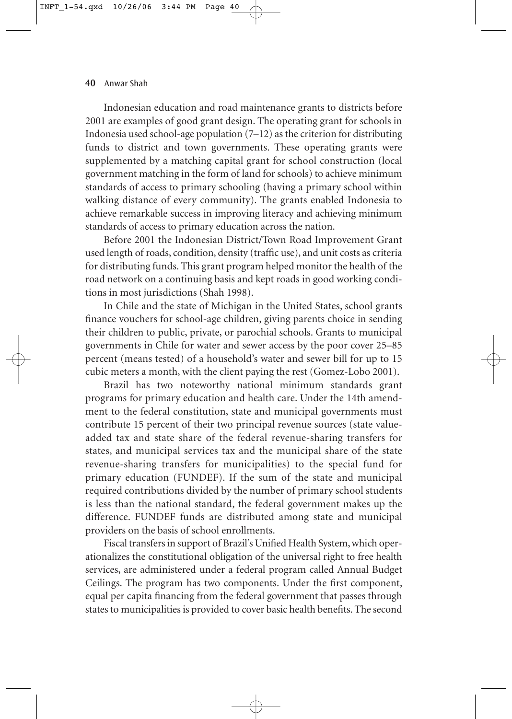Indonesian education and road maintenance grants to districts before 2001 are examples of good grant design. The operating grant for schools in Indonesia used school-age population (7–12) as the criterion for distributing funds to district and town governments. These operating grants were supplemented by a matching capital grant for school construction (local government matching in the form of land for schools) to achieve minimum standards of access to primary schooling (having a primary school within walking distance of every community). The grants enabled Indonesia to achieve remarkable success in improving literacy and achieving minimum standards of access to primary education across the nation.

Before 2001 the Indonesian District/Town Road Improvement Grant used length of roads, condition, density (traffic use), and unit costs as criteria for distributing funds. This grant program helped monitor the health of the road network on a continuing basis and kept roads in good working conditions in most jurisdictions (Shah 1998).

In Chile and the state of Michigan in the United States, school grants finance vouchers for school-age children, giving parents choice in sending their children to public, private, or parochial schools. Grants to municipal governments in Chile for water and sewer access by the poor cover 25–85 percent (means tested) of a household's water and sewer bill for up to 15 cubic meters a month, with the client paying the rest (Gomez-Lobo 2001).

Brazil has two noteworthy national minimum standards grant programs for primary education and health care. Under the 14th amendment to the federal constitution, state and municipal governments must contribute 15 percent of their two principal revenue sources (state valueadded tax and state share of the federal revenue-sharing transfers for states, and municipal services tax and the municipal share of the state revenue-sharing transfers for municipalities) to the special fund for primary education (FUNDEF). If the sum of the state and municipal required contributions divided by the number of primary school students is less than the national standard, the federal government makes up the difference. FUNDEF funds are distributed among state and municipal providers on the basis of school enrollments.

Fiscal transfers in support of Brazil's Unified Health System, which operationalizes the constitutional obligation of the universal right to free health services, are administered under a federal program called Annual Budget Ceilings. The program has two components. Under the first component, equal per capita financing from the federal government that passes through states to municipalities is provided to cover basic health benefits. The second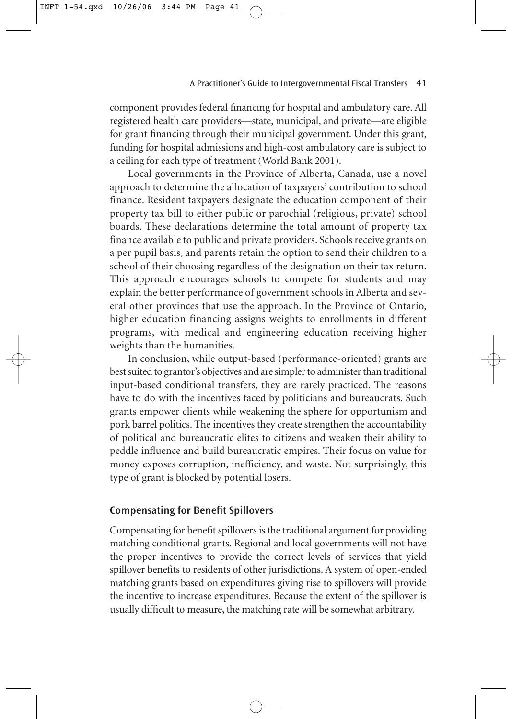component provides federal financing for hospital and ambulatory care. All registered health care providers—state, municipal, and private—are eligible for grant financing through their municipal government. Under this grant, funding for hospital admissions and high-cost ambulatory care is subject to a ceiling for each type of treatment (World Bank 2001).

Local governments in the Province of Alberta, Canada, use a novel approach to determine the allocation of taxpayers' contribution to school finance. Resident taxpayers designate the education component of their property tax bill to either public or parochial (religious, private) school boards. These declarations determine the total amount of property tax finance available to public and private providers. Schools receive grants on a per pupil basis, and parents retain the option to send their children to a school of their choosing regardless of the designation on their tax return. This approach encourages schools to compete for students and may explain the better performance of government schools in Alberta and several other provinces that use the approach. In the Province of Ontario, higher education financing assigns weights to enrollments in different programs, with medical and engineering education receiving higher weights than the humanities.

In conclusion, while output-based (performance-oriented) grants are best suited to grantor's objectives and are simpler to administer than traditional input-based conditional transfers, they are rarely practiced. The reasons have to do with the incentives faced by politicians and bureaucrats. Such grants empower clients while weakening the sphere for opportunism and pork barrel politics. The incentives they create strengthen the accountability of political and bureaucratic elites to citizens and weaken their ability to peddle influence and build bureaucratic empires. Their focus on value for money exposes corruption, inefficiency, and waste. Not surprisingly, this type of grant is blocked by potential losers.

# **Compensating for Benefit Spillovers**

Compensating for benefit spillovers is the traditional argument for providing matching conditional grants. Regional and local governments will not have the proper incentives to provide the correct levels of services that yield spillover benefits to residents of other jurisdictions. A system of open-ended matching grants based on expenditures giving rise to spillovers will provide the incentive to increase expenditures. Because the extent of the spillover is usually difficult to measure, the matching rate will be somewhat arbitrary.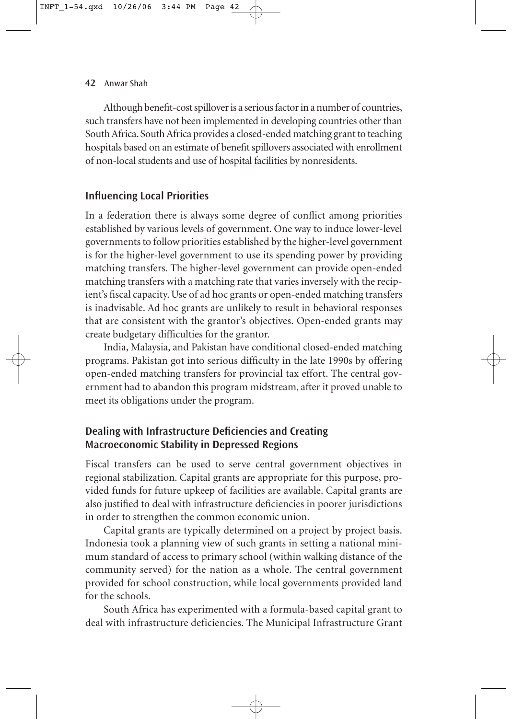Although benefit-cost spillover is a serious factor in a number of countries, such transfers have not been implemented in developing countries other than South Africa. South Africa provides a closed-ended matching grant to teaching hospitals based on an estimate of benefit spillovers associated with enrollment of non-local students and use of hospital facilities by nonresidents.

## **Influencing Local Priorities**

In a federation there is always some degree of conflict among priorities established by various levels of government. One way to induce lower-level governments to follow priorities established by the higher-level government is for the higher-level government to use its spending power by providing matching transfers. The higher-level government can provide open-ended matching transfers with a matching rate that varies inversely with the recipient's fiscal capacity. Use of ad hoc grants or open-ended matching transfers is inadvisable. Ad hoc grants are unlikely to result in behavioral responses that are consistent with the grantor's objectives. Open-ended grants may create budgetary difficulties for the grantor.

India, Malaysia, and Pakistan have conditional closed-ended matching programs. Pakistan got into serious difficulty in the late 1990s by offering open-ended matching transfers for provincial tax effort. The central government had to abandon this program midstream, after it proved unable to meet its obligations under the program.

# **Dealing with Infrastructure Deficiencies and Creating Macroeconomic Stability in Depressed Regions**

Fiscal transfers can be used to serve central government objectives in regional stabilization. Capital grants are appropriate for this purpose, provided funds for future upkeep of facilities are available. Capital grants are also justified to deal with infrastructure deficiencies in poorer jurisdictions in order to strengthen the common economic union.

Capital grants are typically determined on a project by project basis. Indonesia took a planning view of such grants in setting a national minimum standard of access to primary school (within walking distance of the community served) for the nation as a whole. The central government provided for school construction, while local governments provided land for the schools.

South Africa has experimented with a formula-based capital grant to deal with infrastructure deficiencies. The Municipal Infrastructure Grant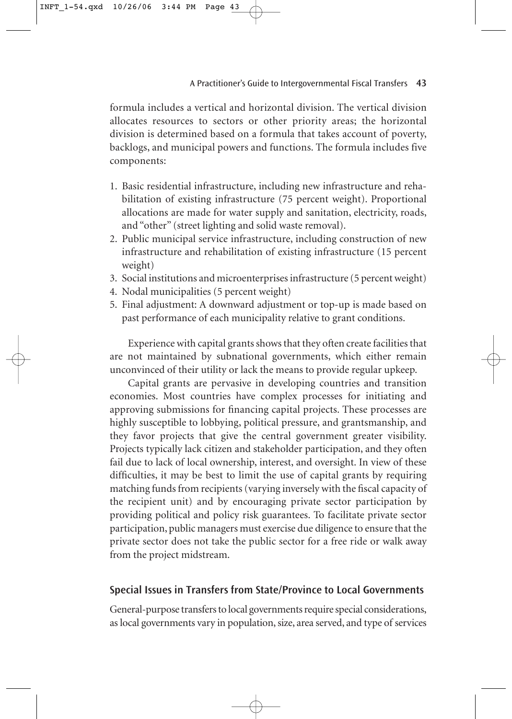formula includes a vertical and horizontal division. The vertical division allocates resources to sectors or other priority areas; the horizontal division is determined based on a formula that takes account of poverty, backlogs, and municipal powers and functions. The formula includes five components:

- 1. Basic residential infrastructure, including new infrastructure and rehabilitation of existing infrastructure (75 percent weight). Proportional allocations are made for water supply and sanitation, electricity, roads, and "other" (street lighting and solid waste removal).
- 2. Public municipal service infrastructure, including construction of new infrastructure and rehabilitation of existing infrastructure (15 percent weight)
- 3. Social institutions and microenterprises infrastructure (5 percent weight)
- 4. Nodal municipalities (5 percent weight)
- 5. Final adjustment: A downward adjustment or top-up is made based on past performance of each municipality relative to grant conditions.

Experience with capital grants shows that they often create facilities that are not maintained by subnational governments, which either remain unconvinced of their utility or lack the means to provide regular upkeep.

Capital grants are pervasive in developing countries and transition economies. Most countries have complex processes for initiating and approving submissions for financing capital projects. These processes are highly susceptible to lobbying, political pressure, and grantsmanship, and they favor projects that give the central government greater visibility. Projects typically lack citizen and stakeholder participation, and they often fail due to lack of local ownership, interest, and oversight. In view of these difficulties, it may be best to limit the use of capital grants by requiring matching funds from recipients (varying inversely with the fiscal capacity of the recipient unit) and by encouraging private sector participation by providing political and policy risk guarantees. To facilitate private sector participation, public managers must exercise due diligence to ensure that the private sector does not take the public sector for a free ride or walk away from the project midstream.

# **Special Issues in Transfers from State/Province to Local Governments**

General-purpose transfers to local governments require special considerations, as local governments vary in population, size, area served, and type of services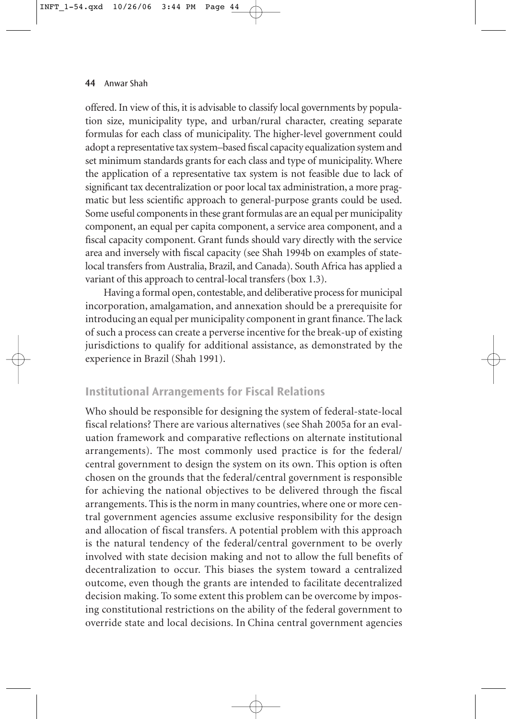offered. In view of this, it is advisable to classify local governments by population size, municipality type, and urban/rural character, creating separate formulas for each class of municipality. The higher-level government could adopt a representative tax system–based fiscal capacity equalization system and set minimum standards grants for each class and type of municipality. Where the application of a representative tax system is not feasible due to lack of significant tax decentralization or poor local tax administration, a more pragmatic but less scientific approach to general-purpose grants could be used. Some useful components in these grant formulas are an equal per municipality component, an equal per capita component, a service area component, and a fiscal capacity component. Grant funds should vary directly with the service area and inversely with fiscal capacity (see Shah 1994b on examples of statelocal transfers from Australia, Brazil, and Canada). South Africa has applied a variant of this approach to central-local transfers (box 1.3).

Having a formal open, contestable, and deliberative process for municipal incorporation, amalgamation, and annexation should be a prerequisite for introducing an equal per municipality component in grant finance. The lack of such a process can create a perverse incentive for the break-up of existing jurisdictions to qualify for additional assistance, as demonstrated by the experience in Brazil (Shah 1991).

# **Institutional Arrangements for Fiscal Relations**

Who should be responsible for designing the system of federal-state-local fiscal relations? There are various alternatives (see Shah 2005a for an evaluation framework and comparative reflections on alternate institutional arrangements). The most commonly used practice is for the federal/ central government to design the system on its own. This option is often chosen on the grounds that the federal/central government is responsible for achieving the national objectives to be delivered through the fiscal arrangements. This is the norm in many countries, where one or more central government agencies assume exclusive responsibility for the design and allocation of fiscal transfers. A potential problem with this approach is the natural tendency of the federal/central government to be overly involved with state decision making and not to allow the full benefits of decentralization to occur. This biases the system toward a centralized outcome, even though the grants are intended to facilitate decentralized decision making. To some extent this problem can be overcome by imposing constitutional restrictions on the ability of the federal government to override state and local decisions. In China central government agencies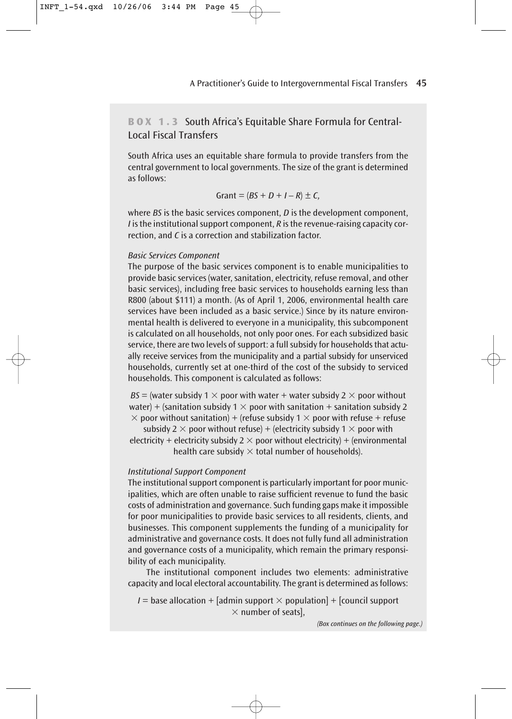**BOX 1.3** South Africa's Equitable Share Formula for Central-Local Fiscal Transfers

South Africa uses an equitable share formula to provide transfers from the central government to local governments. The size of the grant is determined as follows:

$$
Grant = (BS + D + I - R) \pm C,
$$

where *BS* is the basic services component, *D* is the development component, *I* is the institutional support component, *R* is the revenue-raising capacity correction, and *C* is a correction and stabilization factor.

#### *Basic Services Component*

The purpose of the basic services component is to enable municipalities to provide basic services (water, sanitation, electricity, refuse removal, and other basic services), including free basic services to households earning less than R800 (about \$111) a month. (As of April 1, 2006, environmental health care services have been included as a basic service.) Since by its nature environmental health is delivered to everyone in a municipality, this subcomponent is calculated on all households, not only poor ones. For each subsidized basic service, there are two levels of support: a full subsidy for households that actually receive services from the municipality and a partial subsidy for unserviced households, currently set at one-third of the cost of the subsidy to serviced households. This component is calculated as follows:

*BS* = (water subsidy 1  $\times$  poor with water + water subsidy 2  $\times$  poor without water) + (sanitation subsidy 1  $\times$  poor with sanitation + sanitation subsidy 2  $\times$  poor without sanitation) + (refuse subsidy 1  $\times$  poor with refuse + refuse

subsidy 2  $\times$  poor without refuse) + (electricity subsidy 1  $\times$  poor with electricity + electricity subsidy  $2 \times$  poor without electricity) + (environmental health care subsidy  $\times$  total number of households).

#### *Institutional Support Component*

The institutional support component is particularly important for poor municipalities, which are often unable to raise sufficient revenue to fund the basic costs of administration and governance. Such funding gaps make it impossible for poor municipalities to provide basic services to all residents, clients, and businesses. This component supplements the funding of a municipality for administrative and governance costs. It does not fully fund all administration and governance costs of a municipality, which remain the primary responsibility of each municipality.

The institutional component includes two elements: administrative capacity and local electoral accountability. The grant is determined as follows:

*I* = base allocation + [admin support  $\times$  population] + [council support  $\times$  number of seats],

*(Box continues on the following page.)*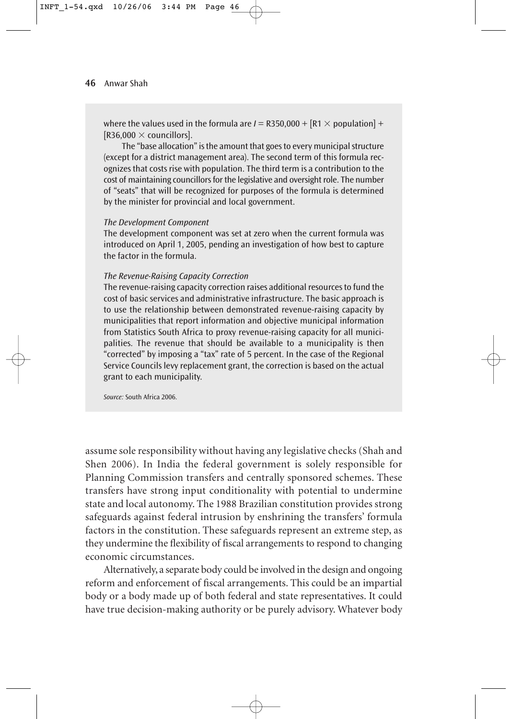where the values used in the formula are  $I = R350,000 + [R1 \times population] +$  $[R36,000 \times \text{countillors}].$ 

The "base allocation" is the amount that goes to every municipal structure (except for a district management area). The second term of this formula recognizes that costs rise with population. The third term is a contribution to the cost of maintaining councillors for the legislative and oversight role. The number of "seats" that will be recognized for purposes of the formula is determined by the minister for provincial and local government.

#### *The Development Component*

The development component was set at zero when the current formula was introduced on April 1, 2005, pending an investigation of how best to capture the factor in the formula.

#### *The Revenue-Raising Capacity Correction*

The revenue-raising capacity correction raises additional resources to fund the cost of basic services and administrative infrastructure. The basic approach is to use the relationship between demonstrated revenue-raising capacity by municipalities that report information and objective municipal information from Statistics South Africa to proxy revenue-raising capacity for all municipalities. The revenue that should be available to a municipality is then "corrected" by imposing a "tax" rate of 5 percent. In the case of the Regional Service Councils levy replacement grant, the correction is based on the actual grant to each municipality.

*Source:* South Africa 2006.

assume sole responsibility without having any legislative checks (Shah and Shen 2006). In India the federal government is solely responsible for Planning Commission transfers and centrally sponsored schemes. These transfers have strong input conditionality with potential to undermine state and local autonomy. The 1988 Brazilian constitution provides strong safeguards against federal intrusion by enshrining the transfers' formula factors in the constitution. These safeguards represent an extreme step, as they undermine the flexibility of fiscal arrangements to respond to changing economic circumstances.

Alternatively, a separate body could be involved in the design and ongoing reform and enforcement of fiscal arrangements. This could be an impartial body or a body made up of both federal and state representatives. It could have true decision-making authority or be purely advisory. Whatever body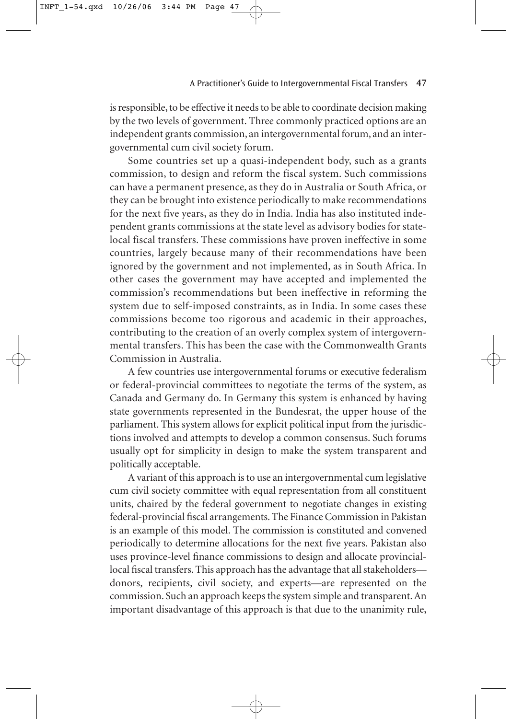is responsible, to be effective it needs to be able to coordinate decision making by the two levels of government. Three commonly practiced options are an independent grants commission, an intergovernmental forum, and an intergovernmental cum civil society forum.

Some countries set up a quasi-independent body, such as a grants commission, to design and reform the fiscal system. Such commissions can have a permanent presence, as they do in Australia or South Africa, or they can be brought into existence periodically to make recommendations for the next five years, as they do in India. India has also instituted independent grants commissions at the state level as advisory bodies for statelocal fiscal transfers. These commissions have proven ineffective in some countries, largely because many of their recommendations have been ignored by the government and not implemented, as in South Africa. In other cases the government may have accepted and implemented the commission's recommendations but been ineffective in reforming the system due to self-imposed constraints, as in India. In some cases these commissions become too rigorous and academic in their approaches, contributing to the creation of an overly complex system of intergovernmental transfers. This has been the case with the Commonwealth Grants Commission in Australia.

A few countries use intergovernmental forums or executive federalism or federal-provincial committees to negotiate the terms of the system, as Canada and Germany do. In Germany this system is enhanced by having state governments represented in the Bundesrat, the upper house of the parliament. This system allows for explicit political input from the jurisdictions involved and attempts to develop a common consensus. Such forums usually opt for simplicity in design to make the system transparent and politically acceptable.

A variant of this approach is to use an intergovernmental cum legislative cum civil society committee with equal representation from all constituent units, chaired by the federal government to negotiate changes in existing federal-provincial fiscal arrangements. The Finance Commission in Pakistan is an example of this model. The commission is constituted and convened periodically to determine allocations for the next five years. Pakistan also uses province-level finance commissions to design and allocate provinciallocal fiscal transfers. This approach has the advantage that all stakeholders donors, recipients, civil society, and experts—are represented on the commission. Such an approach keeps the system simple and transparent. An important disadvantage of this approach is that due to the unanimity rule,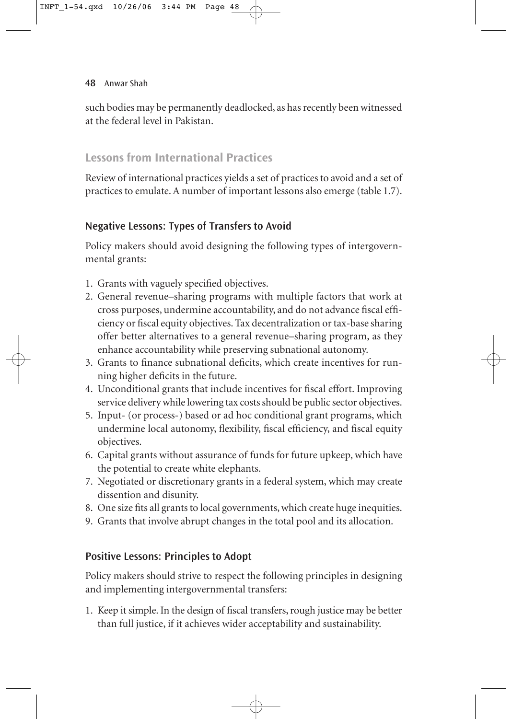such bodies may be permanently deadlocked, as has recently been witnessed at the federal level in Pakistan.

# **Lessons from International Practices**

Review of international practices yields a set of practices to avoid and a set of practices to emulate. A number of important lessons also emerge (table 1.7).

# **Negative Lessons: Types of Transfers to Avoid**

Policy makers should avoid designing the following types of intergovernmental grants:

- 1. Grants with vaguely specified objectives.
- 2. General revenue–sharing programs with multiple factors that work at cross purposes, undermine accountability, and do not advance fiscal efficiency or fiscal equity objectives. Tax decentralization or tax-base sharing offer better alternatives to a general revenue–sharing program, as they enhance accountability while preserving subnational autonomy.
- 3. Grants to finance subnational deficits, which create incentives for running higher deficits in the future.
- 4. Unconditional grants that include incentives for fiscal effort. Improving service delivery while lowering tax costs should be public sector objectives.
- 5. Input- (or process-) based or ad hoc conditional grant programs, which undermine local autonomy, flexibility, fiscal efficiency, and fiscal equity objectives.
- 6. Capital grants without assurance of funds for future upkeep, which have the potential to create white elephants.
- 7. Negotiated or discretionary grants in a federal system, which may create dissention and disunity.
- 8. One size fits all grants to local governments, which create huge inequities.
- 9. Grants that involve abrupt changes in the total pool and its allocation.

# **Positive Lessons: Principles to Adopt**

Policy makers should strive to respect the following principles in designing and implementing intergovernmental transfers:

1. Keep it simple. In the design of fiscal transfers, rough justice may be better than full justice, if it achieves wider acceptability and sustainability.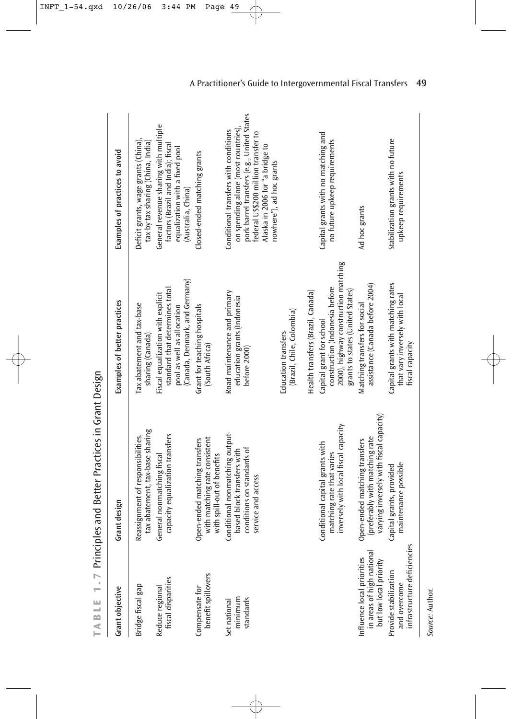| Grant objective                                                                   | Grant design                                                                                                      | Examples of better practices                                                                                                           | Examples of practices to avoid                                                                                                                                                                                                   |
|-----------------------------------------------------------------------------------|-------------------------------------------------------------------------------------------------------------------|----------------------------------------------------------------------------------------------------------------------------------------|----------------------------------------------------------------------------------------------------------------------------------------------------------------------------------------------------------------------------------|
| Bridge fiscal gap                                                                 | tax abatement, tax-base sharing<br>Reassignment of responsibilities,                                              | Tax abatement and tax-base<br>sharing (Canada)                                                                                         | Deficit grants, wage grants (China)<br>tax by tax sharing (China, India)                                                                                                                                                         |
| fiscal disparities<br>Reduce regional                                             | capacity equalization transfers<br>General nonmatching fiscal                                                     | (Canada, Denmark, and Germany)<br>standard that determines total<br>Fiscal equalization with explicit<br>pool as well as allocation    | General revenue sharing with multiple<br>factors (Brazil and India); fiscal<br>equalization with a fixed pool<br>(Australia, China)                                                                                              |
| benefit spillovers<br>Compensate for                                              | Open-ended matching transfers<br>with matching rate consistent<br>with spill-out of benefits                      | Grant for teaching hospitals<br>(South Africa)                                                                                         | Closed-ended matching grants                                                                                                                                                                                                     |
| minimum<br>standards<br>Set national                                              | Conditional nonmatching output-<br>conditions on standards of<br>based block transfers with<br>service and access | Road maintenance and primary<br>education grants (Indonesia<br>before 2000)                                                            | pork barrel transfers (e.g., United States<br>on spending alone (most countries),<br>Conditional transfers with conditions<br>federal US\$200 million transfer to<br>Alaska in 2006 for "a bridge to<br>nowhere"), ad hoc grants |
|                                                                                   |                                                                                                                   | (Brazil, Chile, Colombia)<br>Education transfers                                                                                       |                                                                                                                                                                                                                                  |
|                                                                                   |                                                                                                                   | Health transfers (Brazil, Canada)                                                                                                      |                                                                                                                                                                                                                                  |
|                                                                                   | inversely with local fiscal capacity<br>Conditional capital grants with<br>matching rate that varies              | 2000), highway construction matching<br>construction (Indonesia before<br>grants to states (United States)<br>Capital grant for school | Capital grants with no matching and<br>no future upkeep requirements                                                                                                                                                             |
| in areas of high national<br>Influence local priorities<br>but low local priority | varying inversely with fiscal capacity)<br>(preferably with matching rate<br>Open-ended matching transfers        | assistance (Canada before 2004)<br>Matching transfers for social                                                                       | Ad hoc grants                                                                                                                                                                                                                    |

 $\oplus$ 

A Practitioner's Guide to Intergovernmental Fiscal Transfers **49**

TABLE 1.7 Principles and Better Practices in Grant Design **TABLE 1.7** Principles and Better Practices in Grant Design

Source: Author. *Source:* Author.

Provide stabilization Capital grants, provided Capital grants with matching rates Stabilization grants with no future and overcome maintenance possible that vary inversely with local upkeep requirements

Capital grants with matching rates<br>that vary inversely with local<br>fiscal capacity

Stabilization grants with no future upkeep requirements

infrastructure deficiencies fiscal capacity

and overcome<br>infrastructure deficiencies

Provide stabilization

Capital grants, provided<br>maintenance possible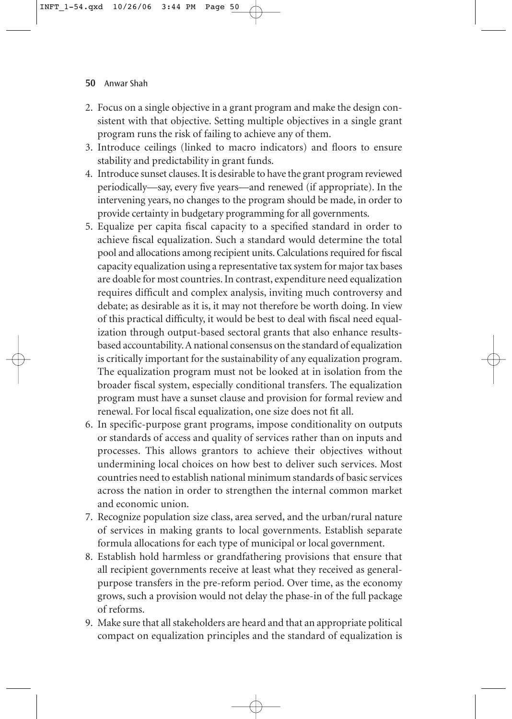- 2. Focus on a single objective in a grant program and make the design consistent with that objective. Setting multiple objectives in a single grant program runs the risk of failing to achieve any of them.
- 3. Introduce ceilings (linked to macro indicators) and floors to ensure stability and predictability in grant funds.
- 4. Introduce sunset clauses. It is desirable to have the grant program reviewed periodically—say, every five years—and renewed (if appropriate). In the intervening years, no changes to the program should be made, in order to provide certainty in budgetary programming for all governments.
- 5. Equalize per capita fiscal capacity to a specified standard in order to achieve fiscal equalization. Such a standard would determine the total pool and allocations among recipient units. Calculations required for fiscal capacity equalization using a representative tax system for major tax bases are doable for most countries. In contrast, expenditure need equalization requires difficult and complex analysis, inviting much controversy and debate; as desirable as it is, it may not therefore be worth doing. In view of this practical difficulty, it would be best to deal with fiscal need equalization through output-based sectoral grants that also enhance resultsbased accountability.A national consensus on the standard of equalization is critically important for the sustainability of any equalization program. The equalization program must not be looked at in isolation from the broader fiscal system, especially conditional transfers. The equalization program must have a sunset clause and provision for formal review and renewal. For local fiscal equalization, one size does not fit all.
- 6. In specific-purpose grant programs, impose conditionality on outputs or standards of access and quality of services rather than on inputs and processes. This allows grantors to achieve their objectives without undermining local choices on how best to deliver such services. Most countries need to establish national minimum standards of basic services across the nation in order to strengthen the internal common market and economic union.
- 7. Recognize population size class, area served, and the urban/rural nature of services in making grants to local governments. Establish separate formula allocations for each type of municipal or local government.
- 8. Establish hold harmless or grandfathering provisions that ensure that all recipient governments receive at least what they received as generalpurpose transfers in the pre-reform period. Over time, as the economy grows, such a provision would not delay the phase-in of the full package of reforms.
- 9. Make sure that all stakeholders are heard and that an appropriate political compact on equalization principles and the standard of equalization is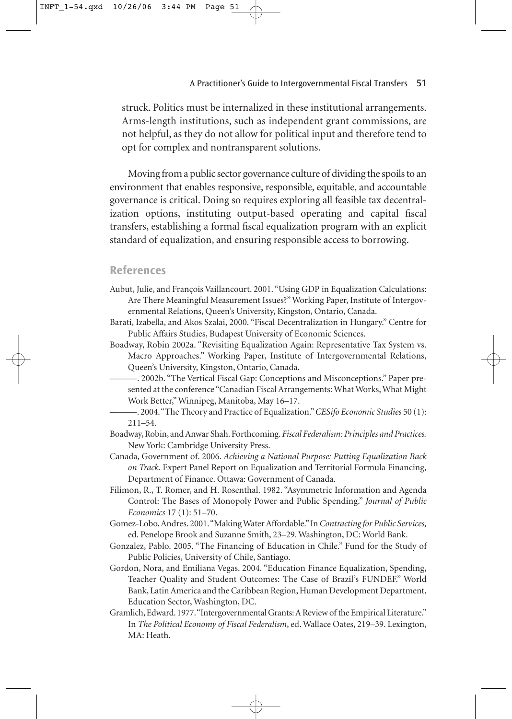struck. Politics must be internalized in these institutional arrangements. Arms-length institutions, such as independent grant commissions, are not helpful, as they do not allow for political input and therefore tend to opt for complex and nontransparent solutions.

Moving from a public sector governance culture of dividing the spoils to an environment that enables responsive, responsible, equitable, and accountable governance is critical. Doing so requires exploring all feasible tax decentralization options, instituting output-based operating and capital fiscal transfers, establishing a formal fiscal equalization program with an explicit standard of equalization, and ensuring responsible access to borrowing.

## **References**

- Aubut, Julie, and François Vaillancourt. 2001. "Using GDP in Equalization Calculations: Are There Meaningful Measurement Issues?" Working Paper, Institute of Intergovernmental Relations, Queen's University, Kingston, Ontario, Canada.
- Barati, Izabella, and Akos Szalai, 2000. "Fiscal Decentralization in Hungary." Centre for Public Affairs Studies, Budapest University of Economic Sciences.
- Boadway, Robin 2002a. "Revisiting Equalization Again: Representative Tax System vs. Macro Approaches." Working Paper, Institute of Intergovernmental Relations, Queen's University, Kingston, Ontario, Canada.
	- ———. 2002b. "The Vertical Fiscal Gap: Conceptions and Misconceptions." Paper presented at the conference "Canadian Fiscal Arrangements: What Works, What Might Work Better," Winnipeg, Manitoba, May 16–17.
- ———. 2004."The Theory and Practice of Equalization."*CESifo Economic Studies* 50 (1): 211–54.
- Boadway, Robin, and Anwar Shah. Forthcoming. *Fiscal Federalism: Principles and Practices.* New York: Cambridge University Press.
- Canada, Government of. 2006. *Achieving a National Purpose: Putting Equalization Back on Track*. Expert Panel Report on Equalization and Territorial Formula Financing, Department of Finance. Ottawa: Government of Canada.
- Filimon, R., T. Romer, and H. Rosenthal. 1982. "Asymmetric Information and Agenda Control: The Bases of Monopoly Power and Public Spending." *Journal of Public Economics* 17 (1): 51–70.
- Gomez-Lobo,Andres. 2001."Making Water Affordable."In *Contracting for Public Services,* ed. Penelope Brook and Suzanne Smith, 23–29. Washington, DC: World Bank.
- Gonzalez, Pablo. 2005. "The Financing of Education in Chile." Fund for the Study of Public Policies, University of Chile, Santiago.
- Gordon, Nora, and Emiliana Vegas. 2004. "Education Finance Equalization, Spending, Teacher Quality and Student Outcomes: The Case of Brazil's FUNDEF." World Bank, Latin America and the Caribbean Region, Human Development Department, Education Sector, Washington, DC.
- Gramlich,Edward.1977."Intergovernmental Grants:A Review of the Empirical Literature." In *The Political Economy of Fiscal Federalism*, ed. Wallace Oates, 219–39. Lexington, MA: Heath.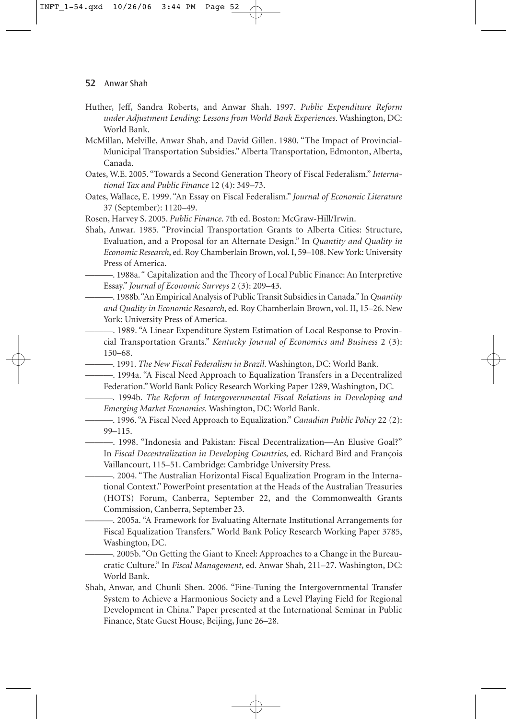- Huther, Jeff, Sandra Roberts, and Anwar Shah. 1997. *Public Expenditure Reform under Adjustment Lending: Lessons from World Bank Experiences*. Washington, DC: World Bank.
- McMillan, Melville, Anwar Shah, and David Gillen. 1980. "The Impact of Provincial-Municipal Transportation Subsidies." Alberta Transportation, Edmonton, Alberta, Canada.
- Oates, W.E. 2005. "Towards a Second Generation Theory of Fiscal Federalism." *International Tax and Public Finance* 12 (4): 349–73.
- Oates, Wallace, E. 1999. "An Essay on Fiscal Federalism." *Journal of Economic Literature* 37 (September): 1120–49.
- Rosen, Harvey S. 2005. *Public Finance*. 7th ed. Boston: McGraw-Hill/Irwin.
- Shah, Anwar. 1985. "Provincial Transportation Grants to Alberta Cities: Structure, Evaluation, and a Proposal for an Alternate Design." In *Quantity and Quality in Economic Research*, ed. Roy Chamberlain Brown, vol. I, 59–108. New York: University Press of America.
	- ———. 1988a. " Capitalization and the Theory of Local Public Finance: An Interpretive Essay." *Journal of Economic Surveys* 2 (3): 209–43.
	- ———. 1988b."An Empirical Analysis of Public Transit Subsidies in Canada." In *Quantity and Quality in Economic Research*, ed. Roy Chamberlain Brown, vol. II, 15–26. New York: University Press of America.
	- ———. 1989. "A Linear Expenditure System Estimation of Local Response to Provincial Transportation Grants." *Kentucky Journal of Economics and Business* 2 (3): 150–68.
		- ———. 1991. *The New Fiscal Federalism in Brazil*. Washington, DC: World Bank.
	- ———. 1994a. "A Fiscal Need Approach to Equalization Transfers in a Decentralized Federation." World Bank Policy Research Working Paper 1289, Washington, DC.
		- ———. 1994b. *The Reform of Intergovernmental Fiscal Relations in Developing and Emerging Market Economies.* Washington, DC: World Bank.
	- ———. 1996. "A Fiscal Need Approach to Equalization." *Canadian Public Policy* 22 (2): 99–115.
	- -. 1998. "Indonesia and Pakistan: Fiscal Decentralization-An Elusive Goal?" In *Fiscal Decentralization in Developing Countries,* ed. Richard Bird and François Vaillancourt, 115–51. Cambridge: Cambridge University Press.

. 2004. "The Australian Horizontal Fiscal Equalization Program in the International Context." PowerPoint presentation at the Heads of the Australian Treasuries (HOTS) Forum, Canberra, September 22, and the Commonwealth Grants Commission, Canberra, September 23.

———. 2005a. "A Framework for Evaluating Alternate Institutional Arrangements for Fiscal Equalization Transfers." World Bank Policy Research Working Paper 3785, Washington, DC.

———. 2005b. "On Getting the Giant to Kneel: Approaches to a Change in the Bureaucratic Culture." In *Fiscal Management*, ed. Anwar Shah, 211–27. Washington, DC: World Bank.

Shah, Anwar, and Chunli Shen. 2006. "Fine-Tuning the Intergovernmental Transfer System to Achieve a Harmonious Society and a Level Playing Field for Regional Development in China." Paper presented at the International Seminar in Public Finance, State Guest House, Beijing, June 26–28.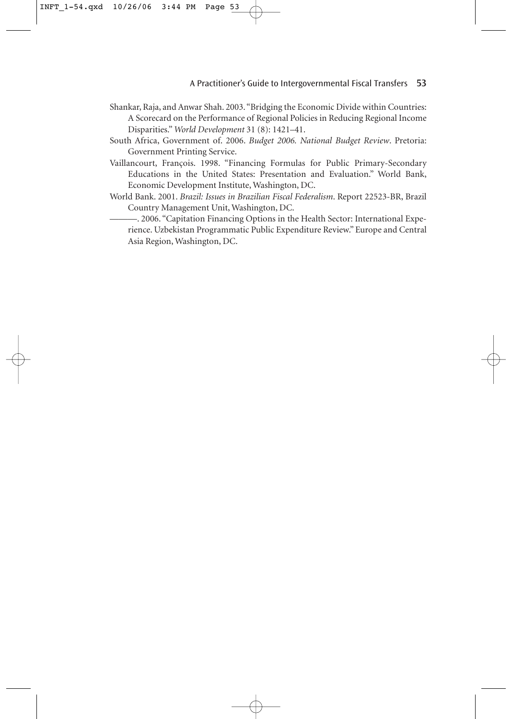- Shankar, Raja, and Anwar Shah. 2003."Bridging the Economic Divide within Countries: A Scorecard on the Performance of Regional Policies in Reducing Regional Income Disparities." *World Development* 31 (8): 1421–41.
- South Africa, Government of. 2006. *Budget 2006. National Budget Review*. Pretoria: Government Printing Service.
- Vaillancourt, François. 1998. "Financing Formulas for Public Primary-Secondary Educations in the United States: Presentation and Evaluation." World Bank, Economic Development Institute, Washington, DC.
- World Bank. 2001. *Brazil: Issues in Brazilian Fiscal Federalism*. Report 22523-BR, Brazil Country Management Unit, Washington, DC.
	- ———. 2006. "Capitation Financing Options in the Health Sector: International Experience. Uzbekistan Programmatic Public Expenditure Review." Europe and Central Asia Region, Washington, DC.